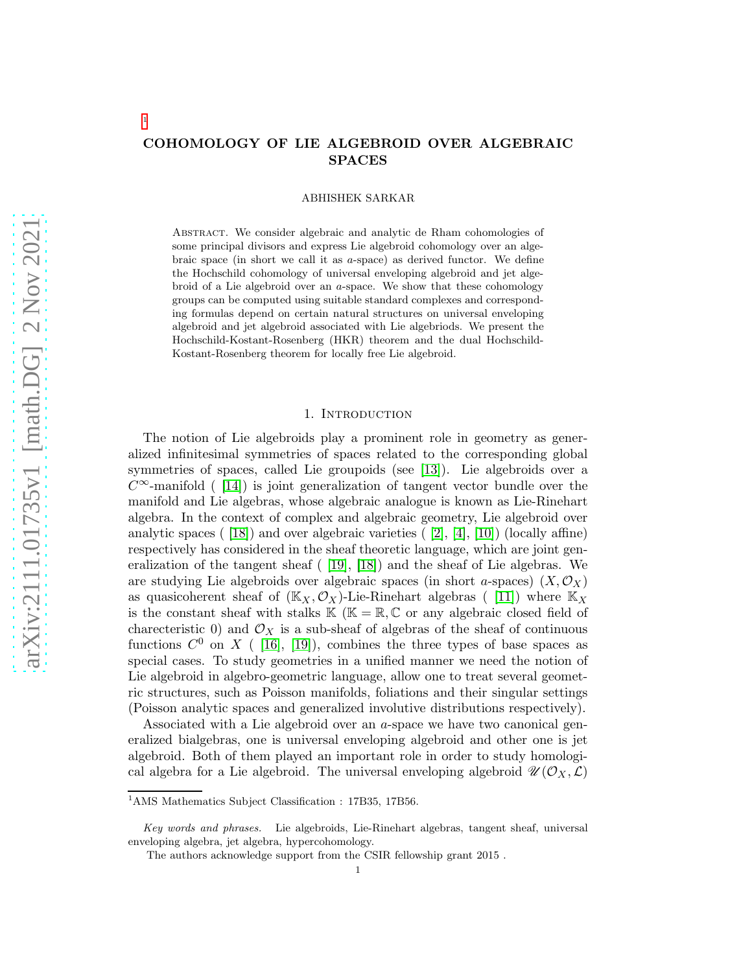# COHOMOLOGY OF LIE ALGEBROID OVER ALGEBRAIC SPACES

ABHISHEK SARKAR

Abstract. We consider algebraic and analytic de Rham cohomologies of some principal divisors and express Lie algebroid cohomology over an algebraic space (in short we call it as  $a$ -space) as derived functor. We define the Hochschild cohomology of universal enveloping algebroid and jet algebroid of a Lie algebroid over an a-space. We show that these cohomology groups can be computed using suitable standard complexes and corresponding formulas depend on certain natural structures on universal enveloping algebroid and jet algebroid associated with Lie algebriods. We present the Hochschild-Kostant-Rosenberg (HKR) theorem and the dual Hochschild-Kostant-Rosenberg theorem for locally free Lie algebroid.

### 1. Introduction

The notion of Lie algebroids play a prominent role in geometry as generalized infinitesimal symmetries of spaces related to the corresponding global symmetries of spaces, called Lie groupoids (see [\[13\]](#page-15-0)). Lie algebroids over a  $C^{\infty}$ -manifold ( [\[14\]](#page-15-1)) is joint generalization of tangent vector bundle over the manifold and Lie algebras, whose algebraic analogue is known as Lie-Rinehart algebra. In the context of complex and algebraic geometry, Lie algebroid over analytic spaces (  $[18]$ ) and over algebraic varieties (  $[2]$ ,  $[4]$ ,  $[10]$ ) (locally affine) respectively has considered in the sheaf theoretic language, which are joint generalization of the tangent sheaf ( [\[19\]](#page-15-6), [\[18\]](#page-15-2)) and the sheaf of Lie algebras. We are studying Lie algebroids over algebraic spaces (in short a-spaces)  $(X, \mathcal{O}_X)$ as quasicoherent sheaf of  $(\mathbb{K}_X, \mathcal{O}_X)$ -Lie-Rinehart algebras ([11]) where  $\mathbb{K}_X$ is the constant sheaf with stalks  $\mathbb{K}$  ( $\mathbb{K} = \mathbb{R}, \mathbb{C}$  or any algebraic closed field of charecteristic 0) and  $\mathcal{O}_X$  is a sub-sheaf of algebras of the sheaf of continuous functions  $C^0$  on X ( [\[16\]](#page-15-8), [\[19\]](#page-15-6)), combines the three types of base spaces as special cases. To study geometries in a unified manner we need the notion of Lie algebroid in algebro-geometric language, allow one to treat several geometric structures, such as Poisson manifolds, foliations and their singular settings (Poisson analytic spaces and generalized involutive distributions respectively).

Associated with a Lie algebroid over an a-space we have two canonical generalized bialgebras, one is universal enveloping algebroid and other one is jet algebroid. Both of them played an important role in order to study homological algebra for a Lie algebroid. The universal enveloping algebroid  $\mathscr{U}(\mathcal{O}_X,\mathcal{L})$ 

1

<sup>&</sup>lt;sup>1</sup>AMS Mathematics Subject Classification : 17B35, 17B56.

*Key words and phrases.* Lie algebroids, Lie-Rinehart algebras, tangent sheaf, universal enveloping algebra, jet algebra, hypercohomology.

The authors acknowledge support from the CSIR fellowship grant 2015 .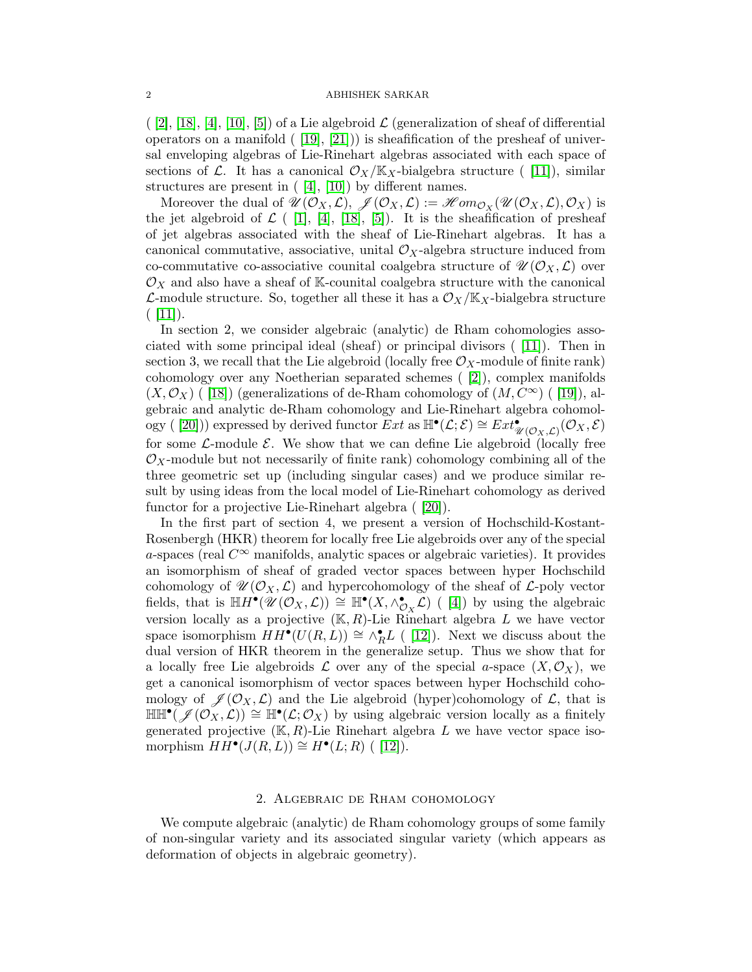$([2], [18], [4], [10], [5])$  $([2], [18], [4], [10], [5])$  $([2], [18], [4], [10], [5])$  $([2], [18], [4], [10], [5])$  $([2], [18], [4], [10], [5])$  $([2], [18], [4], [10], [5])$  $([2], [18], [4], [10], [5])$  $([2], [18], [4], [10], [5])$  $([2], [18], [4], [10], [5])$  of a Lie algebroid  $\mathcal L$  (generalization of sheaf of differential operators on a manifold  $([19], [21])$  $([19], [21])$  $([19], [21])$  is sheafification of the presheaf of universal enveloping algebras of Lie-Rinehart algebras associated with each space of sections of  $\mathcal{L}$ . It has a canonical  $\mathcal{O}_X/\mathbb{K}_X$ -bialgebra structure ([11]), similar structures are present in  $([4], [10])$  $([4], [10])$  $([4], [10])$  by different names.

Moreover the dual of  $\mathscr{U}(\mathcal{O}_X,\mathcal{L}), \mathscr{J}(\mathcal{O}_X,\mathcal{L}) := \mathscr{H}om_{\mathcal{O}_X}(\mathscr{U}(\mathcal{O}_X,\mathcal{L}),\mathcal{O}_X)$  is the jet algebroid of  $\mathcal{L}$  ( [\[1\]](#page-15-11), [\[4\]](#page-15-4), [\[18\]](#page-15-2), [\[5\]](#page-15-9)). It is the sheafification of presheaf of jet algebras associated with the sheaf of Lie-Rinehart algebras. It has a canonical commutative, associative, unital  $\mathcal{O}_X$ -algebra structure induced from co-commutative co-associative counital coalgebra structure of  $\mathscr{U}(\mathcal{O}_X,\mathcal{L})$  over  $\mathcal{O}_X$  and also have a sheaf of K-counital coalgebra structure with the canonical  $\mathcal{L}$ -module structure. So, together all these it has a  $\mathcal{O}_X/\mathbb{K}_X$ -bialgebra structure  $( |11|).$ 

In section 2, we consider algebraic (analytic) de Rham cohomologies associated with some principal ideal (sheaf) or principal divisors ( [\[11\]](#page-15-7)). Then in section 3, we recall that the Lie algebroid (locally free  $\mathcal{O}_X$ -module of finite rank) cohomology over any Noetherian separated schemes ( [\[2\]](#page-15-3)), complex manifolds  $(X, \mathcal{O}_X)$  ( [\[18\]](#page-15-2)) (generalizations of de-Rham cohomology of  $(M, C^{\infty})$  ( [\[19\]](#page-15-6)), algebraic and analytic de-Rham cohomology and Lie-Rinehart algebra cohomol-ogy ( [\[20\]](#page-15-12))) expressed by derived functor  $\overline{E}xt$  as  $\mathbb{H}^{\bullet}(\mathcal{L};\mathcal{E}) \cong \overline{Ext}^{\bullet}_{\mathscr{U}(\mathcal{O}_X,\mathcal{L})}(\mathcal{O}_X,\mathcal{E})$ for some  $\mathcal{L}$ -module  $\mathcal{E}$ . We show that we can define Lie algebroid (locally free  $\mathcal{O}_X$ -module but not necessarily of finite rank) cohomology combining all of the three geometric set up (including singular cases) and we produce similar result by using ideas from the local model of Lie-Rinehart cohomology as derived functor for a projective Lie-Rinehart algebra ( [\[20\]](#page-15-12)).

In the first part of section 4, we present a version of Hochschild-Kostant-Rosenbergh (HKR) theorem for locally free Lie algebroids over any of the special a-spaces (real  $C^{\infty}$  manifolds, analytic spaces or algebraic varieties). It provides an isomorphism of sheaf of graded vector spaces between hyper Hochschild cohomology of  $\mathscr{U}(\mathcal{O}_X, \mathcal{L})$  and hypercohomology of the sheaf of  $\mathcal{L}$ -poly vector fields, that is  $\mathbb{H}H^{\bullet}(\mathscr{U}(\mathcal{O}_X,\mathcal{L})) \cong \mathbb{H}^{\bullet}(X,\wedge^{\bullet}_{\mathcal{O}_X}\widetilde{\mathcal{L}})$  ([4]) by using the algebraic version locally as a projective  $(K, R)$ -Lie Rinehart algebra L we have vector space isomorphism  $HH^{\bullet}(U(R,L)) \cong \wedge_R^{\bullet}L$  ([12]). Next we discuss about the dual version of HKR theorem in the generalize setup. Thus we show that for a locally free Lie algebroids  $\mathcal L$  over any of the special a-space  $(X,\mathcal O_X)$ , we get a canonical isomorphism of vector spaces between hyper Hochschild cohomology of  $\mathscr{J}(\mathcal{O}_X, \mathcal{L})$  and the Lie algebroid (hyper)cohomology of  $\mathcal{L}$ , that is  $\mathbb{H} \mathbb{H}^{\bullet}(\mathscr{J}(\mathcal{O}_X,\mathcal{L})) \cong \mathbb{H}^{\bullet}(\mathcal{L};\mathcal{O}_X)$  by using algebraic version locally as a finitely generated projective  $(K, R)$ -Lie Rinehart algebra L we have vector space isomorphism  $HH^{\bullet}(J(R,L)) \cong H^{\bullet}(L;R)$  ([12]).

## 2. Algebraic de Rham cohomology

We compute algebraic (analytic) de Rham cohomology groups of some family of non-singular variety and its associated singular variety (which appears as deformation of objects in algebraic geometry).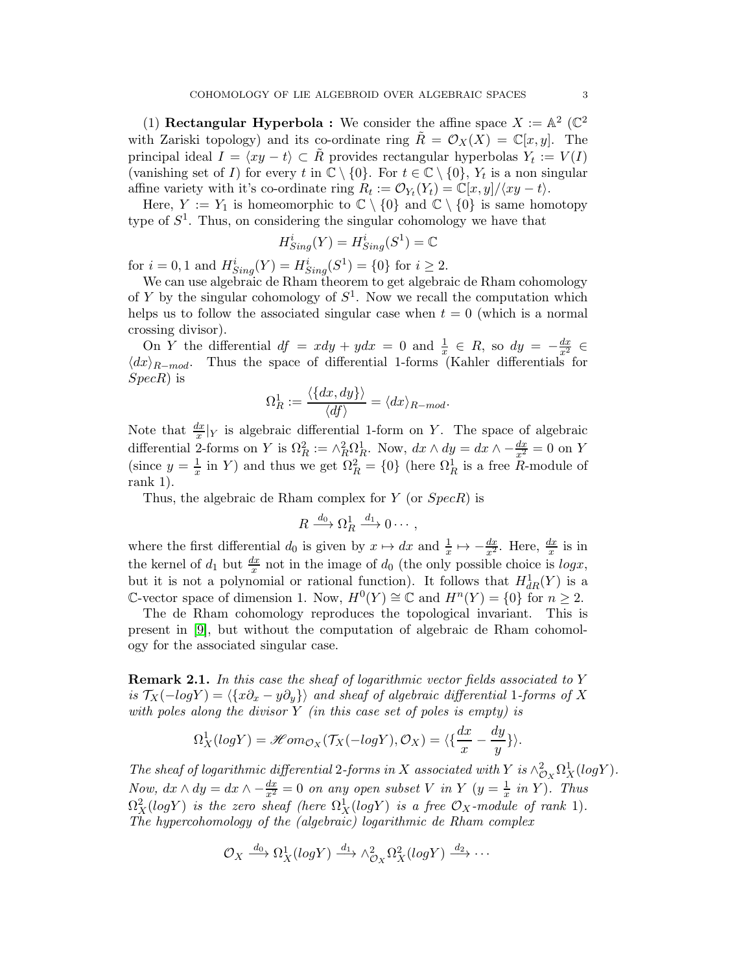(1) **Rectangular Hyperbola :** We consider the affine space  $X := \mathbb{A}^2$  ( $\mathbb{C}^2$ ) with Zariski topology) and its co-ordinate ring  $R = \mathcal{O}_X(X) = \mathbb{C}[x, y]$ . The principal ideal  $I = \langle xy - t \rangle \subset \tilde{R}$  provides rectangular hyperbolas  $Y_t := V(I)$ (vanishing set of I) for every t in  $\mathbb{C} \setminus \{0\}$ . For  $t \in \mathbb{C} \setminus \{0\}$ ,  $Y_t$  is a non singular affine variety with it's co-ordinate ring  $R_t := \mathcal{O}_{Y_t}(Y_t) = \mathbb{C}[x, y]/\langle xy - t \rangle$ .

Here,  $Y := Y_1$  is homeomorphic to  $\mathbb{C} \setminus \{0\}$  and  $\mathbb{C} \setminus \{0\}$  is same homotopy type of  $S^1$ . Thus, on considering the singular cohomology we have that

$$
H_{Sing}^i(Y) = H_{Sing}^i(S^1) = \mathbb{C}
$$

for  $i = 0, 1$  and  $H_{Sing}^i(Y) = H_{Sing}^i(S^1) = \{0\}$  for  $i \ge 2$ .

We can use algebraic de Rham theorem to get algebraic de Rham cohomology of Y by the singular cohomology of  $S^1$ . Now we recall the computation which helps us to follow the associated singular case when  $t = 0$  (which is a normal crossing divisor).

On Y the differential  $df = x dy + y dx = 0$  and  $\frac{1}{x} \in R$ , so  $dy = -\frac{dx}{x^2} \in$  $\langle dx \rangle_{R-mod}$ . Thus the space of differential 1-forms (Kahler differentials for SpecR) is

$$
\Omega_R^1 := \frac{\langle \{dx, dy\} \rangle}{\langle df \rangle} = \langle dx \rangle_{R-mod}.
$$

Note that  $\frac{dx}{x}|_Y$  is algebraic differential 1-form on Y. The space of algebraic differential 2-forms on Y is  $\Omega_R^2 := \wedge_R^2 \Omega_R^1$ . Now,  $dx \wedge dy = dx \wedge -\frac{dx}{x^2} = 0$  on Y (since  $y = \frac{1}{x}$  in Y) and thus we get  $\Omega_R^2 = \{0\}$  (here  $\Omega_R^1$  is a free R-module of rank 1).

Thus, the algebraic de Rham complex for  $Y$  (or  $Spec R$ ) is

$$
R \xrightarrow{d_0} \Omega^1_R \xrightarrow{d_1} 0 \cdots,
$$

where the first differential  $d_0$  is given by  $x \mapsto dx$  and  $\frac{1}{x} \mapsto -\frac{dx}{x^2}$ . Here,  $\frac{dx}{x}$  is in the kernel of  $d_1$  but  $\frac{dx}{x}$  not in the image of  $d_0$  (the only possible choice is  $log x$ , but it is not a polynomial or rational function). It follows that  $H^1_{dR}(Y)$  is a C-vector space of dimension 1. Now,  $H^0(Y) \cong \mathbb{C}$  and  $H^n(Y) = \{0\}$  for  $n \geq 2$ .

The de Rham cohomology reproduces the topological invariant. This is present in [\[9\]](#page-15-14), but without the computation of algebraic de Rham cohomology for the associated singular case.

**Remark 2.1.** In this case the sheaf of logarithmic vector fields associated to Y is  $\mathcal{T}_X(-logY) = \langle \{x\partial_x - y\partial_y\}\rangle$  and sheaf of algebraic differential 1-forms of X with poles along the divisor  $Y$  (in this case set of poles is empty) is

$$
\Omega_X^1(log Y) = \mathscr{H}om_{\mathcal{O}_X}(\mathcal{T}_X(-log Y), \mathcal{O}_X) = \langle \{\frac{dx}{x} - \frac{dy}{y}\}\rangle.
$$

The sheaf of logarithmic differential 2-forms in X associated with Y is  $\wedge^2_{\mathcal{O}_X} \Omega^1_X(logY)$ . Now,  $dx \wedge dy = dx \wedge -\frac{dx}{x^2} = 0$  on any open subset V in Y  $(y = \frac{1}{x}$  in Y). Thus  $\Omega^2_X(logY)$  is the zero sheaf (here  $\Omega^1_X(logY)$  is a free  $\mathcal{O}_X\text{-module}$  of rank 1). The hypercohomology of the (algebraic) logarithmic de Rham complex

$$
\mathcal{O}_X \xrightarrow{d_0} \Omega^1_X(logY) \xrightarrow{d_1} \wedge^2_{\mathcal{O}_X} \Omega^2_X(logY) \xrightarrow{d_2} \cdots
$$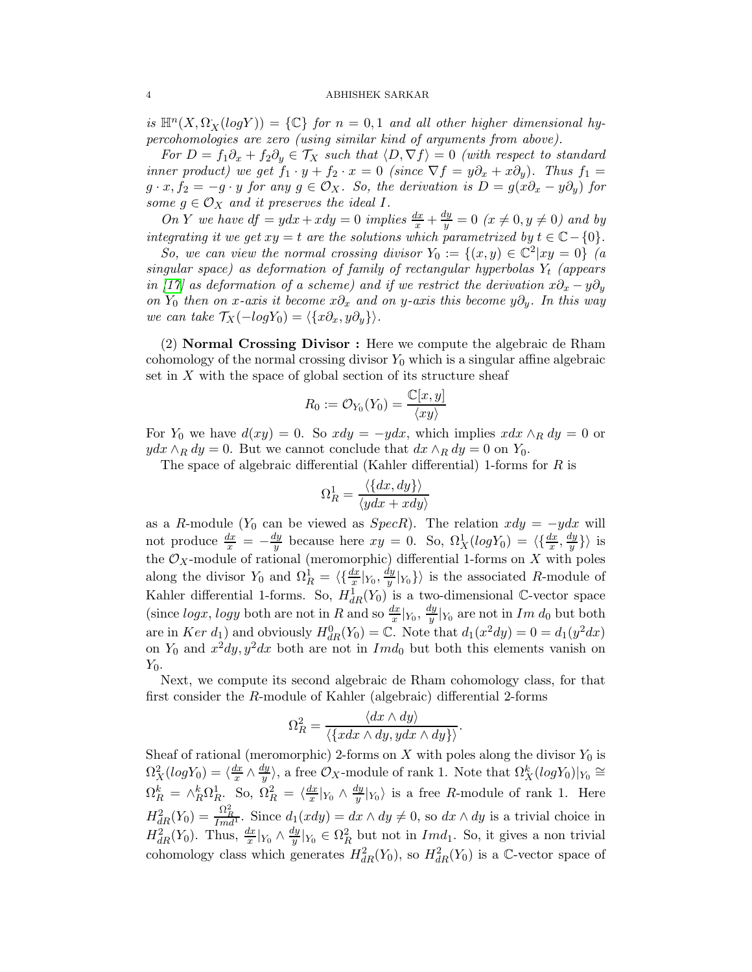is  $\mathbb{H}^n(X, \Omega_X(logY)) = \{ \mathbb{C} \}$  for  $n = 0, 1$  and all other higher dimensional hypercohomologies are zero (using similar kind of arguments from above).

For  $D = f_1 \partial_x + f_2 \partial_y \in \mathcal{T}_X$  such that  $\langle D, \nabla f \rangle = 0$  (with respect to standard inner product) we get  $f_1 \cdot y + f_2 \cdot x = 0$  (since  $\nabla f = y\partial_x + x\partial_y$ ). Thus  $f_1 =$  $g \cdot x, f_2 = -g \cdot y$  for any  $g \in \mathcal{O}_X$ . So, the derivation is  $D = g(x\partial_x - y\partial_y)$  for some  $g \in \mathcal{O}_X$  and it preserves the ideal I.

On Y we have  $df = ydx + xdy = 0$  implies  $\frac{dx}{x} + \frac{dy}{y} = 0$   $(x \neq 0, y \neq 0)$  and by integrating it we get  $xy = t$  are the solutions which parametrized by  $t \in \mathbb{C} - \{0\}$ .

So, we can view the normal crossing divisor  $Y_0 := \{(x, y) \in \mathbb{C}^2 | xy = 0\}$  (a singular space) as deformation of family of rectangular hyperbolas  $Y_t$  (appears in [\[17\]](#page-15-15) as deformation of a scheme) and if we restrict the derivation  $x\partial_x - y\partial_y$ on Y<sub>0</sub> then on x-axis it become x $\partial_x$  and on y-axis this become y $\partial_y$ . In this way we can take  $\mathcal{T}_X(-logY_0) = \langle \{x\partial_x, y\partial_y\}\rangle.$ 

(2) Normal Crossing Divisor : Here we compute the algebraic de Rham cohomology of the normal crossing divisor  $Y_0$  which is a singular affine algebraic set in  $X$  with the space of global section of its structure sheaf

$$
R_0:=\mathcal{O}_{Y_0}(Y_0)=\frac{\mathbb{C}[x,y]}{\langle xy \rangle}
$$

For  $Y_0$  we have  $d(xy) = 0$ . So  $xdy = -ydx$ , which implies  $xdx \wedge_R dy = 0$  or  $ydx \wedge_R dy = 0$ . But we cannot conclude that  $dx \wedge_R dy = 0$  on  $Y_0$ .

The space of algebraic differential (Kahler differential) 1-forms for R is

$$
\Omega_R^1 = \frac{\langle \{dx, dy\} \rangle}{\langle ydx + xdy \rangle}
$$

as a R-module ( $Y_0$  can be viewed as  $SpecR$ ). The relation  $xdy = -ydx$  will not produce  $\frac{dx}{x} = -\frac{dy}{y}$  $\frac{dy}{y}$  because here  $xy = 0$ . So,  $\Omega_X^1(log Y_0) = \langle \frac{dx}{x}, \frac{dy}{y} \rangle$  $\langle \frac{dy}{y} \rangle$  is the  $\mathcal{O}_X$ -module of rational (meromorphic) differential 1-forms on X with poles along the divisor  $Y_0$  and  $\Omega_R^1 = \langle \{\frac{dx}{x}|_{Y_0}, \frac{dy}{y}\rangle\}$  $\langle \frac{y}{y} | Y_0 \rangle$  is the associated R-module of Kahler differential 1-forms. So,  $H_{dR}^1(Y_0)$  is a two-dimensional C-vector space (since  $log x$ ,  $log y$  both are not in R and so  $\frac{dx}{x}|_{Y_0}$ ,  $\frac{dy}{y}$  $\frac{uy}{y}|_{Y_0}$  are not in  $Im\ d_0$  but both are in Ker  $d_1$ ) and obviously  $H_{dR}^0(Y_0) = \mathbb{C}$ . Note that  $d_1(x^2 dy) = 0 = d_1(y^2 dx)$ on  $Y_0$  and  $x^2 dy$ ,  $y^2 dx$  both are not in  $Im d_0$  but both this elements vanish on  $Y_0$ .

Next, we compute its second algebraic de Rham cohomology class, for that first consider the R-module of Kahler (algebraic) differential 2-forms

$$
\Omega_R^2 = \frac{\langle dx \wedge dy \rangle}{\langle \{xdx \wedge dy, ydx \wedge dy\} \rangle}.
$$

Sheaf of rational (meromorphic) 2-forms on  $X$  with poles along the divisor  $Y_0$  is  $\Omega_X^2(log Y_0) = \langle \frac{dx}{x} \rangle$  $rac{dx}{x} \wedge \frac{dy}{y}$  $\langle \frac{dy}{y} \rangle$ , a free  $\mathcal{O}_X$ -module of rank 1. Note that  $\Omega^k_X(log Y_0)|_{Y_0} \cong$  $\Omega_R^k = \wedge_R^k \Omega_R^1$ . So,  $\Omega_R^2 = \langle \frac{dx}{x} \rangle$  $\frac{dx}{x}|_{Y_0} \wedge \frac{dy}{y}$  $\frac{y}{y}|_{Y_0}$  is a free R-module of rank 1. Here  $H_{dR}^2(Y_0) = \frac{\Omega_R^2}{Imd}$ . Since  $d_1(xdy) = dx \wedge dy \neq 0$ , so  $dx \wedge dy$  is a trivial choice in  $H^2_{dR}(Y_0)$ . Thus,  $\frac{dx}{x}|_{Y_0} \wedge \frac{dy}{y}$  $\frac{dy}{y}|_{Y_0} \in \Omega_R^2$  but not in  $Imd_1$ . So, it gives a non trivial cohomology class which generates  $H_{dR}^2(Y_0)$ , so  $H_{dR}^2(Y_0)$  is a C-vector space of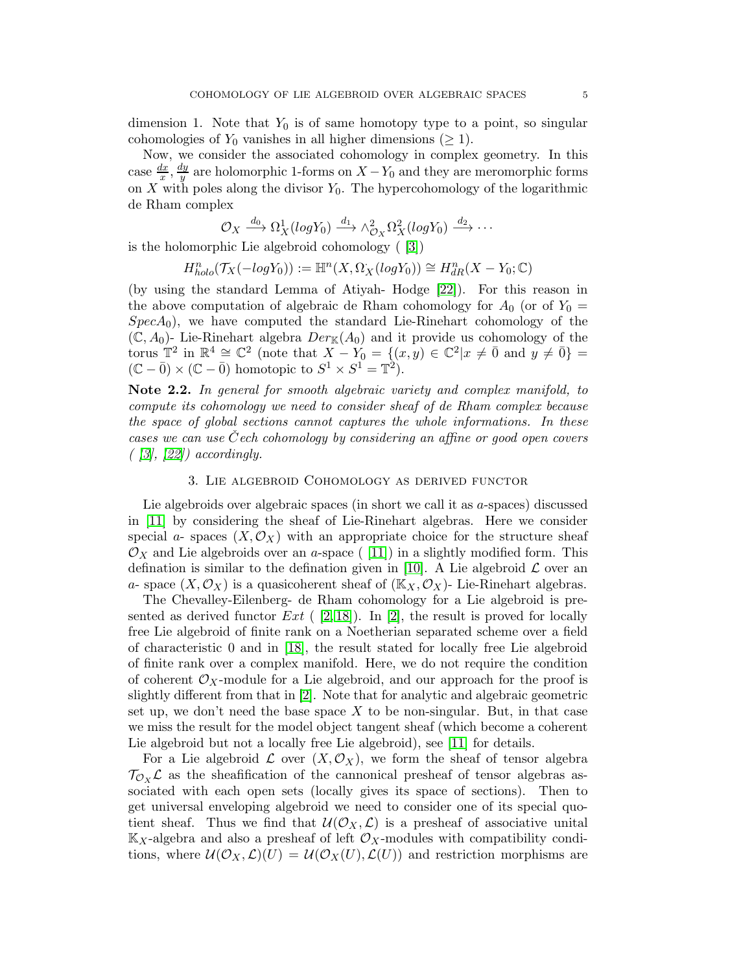dimension 1. Note that  $Y_0$  is of same homotopy type to a point, so singular cohomologies of  $Y_0$  vanishes in all higher dimensions ( $\geq 1$ ).

Now, we consider the associated cohomology in complex geometry. In this case  $\frac{dx}{x}, \frac{dy}{y}$  $\frac{dy}{y}$  are holomorphic 1-forms on  $X - Y_0$  and they are meromorphic forms on X with poles along the divisor  $Y_0$ . The hypercohomology of the logarithmic de Rham complex

$$
\mathcal{O}_X \xrightarrow{d_0} \Omega^1_X(log Y_0) \xrightarrow{d_1} \wedge^2_{\mathcal{O}_X} \Omega^2_X(log Y_0) \xrightarrow{d_2} \cdots
$$

is the holomorphic Lie algebroid cohomology ( [\[3\]](#page-15-16))

$$
H^n_{holo}(\mathcal{T}_X(-logY_0)) := \mathbb{H}^n(X, \Omega^*_X(logY_0)) \cong H^n_{dR}(X - Y_0; \mathbb{C})
$$

(by using the standard Lemma of Atiyah- Hodge [\[22\]](#page-15-17)). For this reason in the above computation of algebraic de Rham cohomology for  $A_0$  (or of  $Y_0 =$  $SpecA_0$ , we have computed the standard Lie-Rinehart cohomology of the  $(\mathbb{C}, A_0)$ - Lie-Rinehart algebra  $Der_{\mathbb{K}}(A_0)$  and it provide us cohomology of the torus  $\mathbb{T}^2$  in  $\mathbb{R}^4 \cong \mathbb{C}^2$  (note that  $X - Y_0 = \{(x, y) \in \mathbb{C}^2 | x \neq \overline{0} \text{ and } y \neq \overline{0} \}$  $(\mathbb{C} - \bar{0}) \times (\mathbb{C} - \bar{0})$  homotopic to  $S^1 \times S^1 = \mathbb{T}^2$ .

Note 2.2. In general for smooth algebraic variety and complex manifold, to compute its cohomology we need to consider sheaf of de Rham complex because the space of global sections cannot captures the whole informations. In these cases we can use  $\check{C}$ ech cohomology by considering an affine or good open covers  $($  [\[3\]](#page-15-16), [\[22\]](#page-15-17)) accordingly.

## 3. Lie algebroid Cohomology as derived functor

Lie algebroids over algebraic spaces (in short we call it as a-spaces) discussed in [\[11\]](#page-15-7) by considering the sheaf of Lie-Rinehart algebras. Here we consider special a- spaces  $(X, \mathcal{O}_X)$  with an appropriate choice for the structure sheaf  $\mathcal{O}_X$  and Lie algebroids over an a-space ([11]) in a slightly modified form. This defination is similar to the defination given in [\[10\]](#page-15-5). A Lie algebroid  $\mathcal L$  over an a- space  $(X, \mathcal{O}_X)$  is a quasicoherent sheaf of  $(\mathbb{K}_X, \mathcal{O}_X)$ - Lie-Rinehart algebras.

The Chevalley-Eilenberg- de Rham cohomology for a Lie algebroid is presented as derived functor  $Ext$  ( [\[2,](#page-15-3) [18\]](#page-15-2)). In [\[2\]](#page-15-3), the result is proved for locally free Lie algebroid of finite rank on a Noetherian separated scheme over a field of characteristic 0 and in [\[18\]](#page-15-2), the result stated for locally free Lie algebroid of finite rank over a complex manifold. Here, we do not require the condition of coherent  $\mathcal{O}_X$ -module for a Lie algebroid, and our approach for the proof is slightly different from that in [\[2\]](#page-15-3). Note that for analytic and algebraic geometric set up, we don't need the base space  $X$  to be non-singular. But, in that case we miss the result for the model object tangent sheaf (which become a coherent Lie algebroid but not a locally free Lie algebroid), see [\[11\]](#page-15-7) for details.

For a Lie algebroid  $\mathcal L$  over  $(X, \mathcal O_X)$ , we form the sheaf of tensor algebra  $\mathcal{T}_{\mathcal{O}_X} \mathcal{L}$  as the sheafification of the cannonical presheaf of tensor algebras associated with each open sets (locally gives its space of sections). Then to get universal enveloping algebroid we need to consider one of its special quotient sheaf. Thus we find that  $\mathcal{U}(\mathcal{O}_X, \mathcal{L})$  is a presheaf of associative unital  $\mathbb{K}_X$ -algebra and also a presheaf of left  $\mathcal{O}_X$ -modules with compatibility conditions, where  $\mathcal{U}(\mathcal{O}_X,\mathcal{L})(U) = \mathcal{U}(\mathcal{O}_X(U),\mathcal{L}(U))$  and restriction morphisms are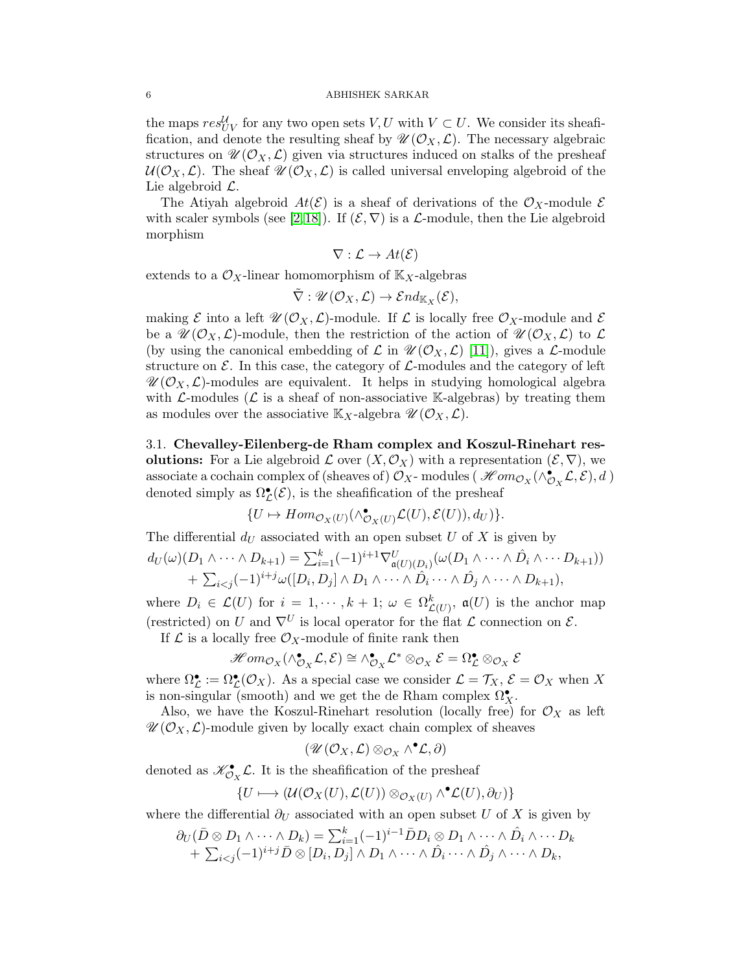the maps  $res_{UV}^{\mathcal{U}}$  for any two open sets  $V, U$  with  $V \subset U$ . We consider its sheaffication, and denote the resulting sheaf by  $\mathscr{U}(\mathcal{O}_X, \mathcal{L})$ . The necessary algebraic structures on  $\mathscr{U}(\mathcal{O}_X,\mathcal{L})$  given via structures induced on stalks of the presheaf  $U(\mathcal{O}_X, \mathcal{L})$ . The sheaf  $\mathscr{U}(\mathcal{O}_X, \mathcal{L})$  is called universal enveloping algebroid of the Lie algebroid  $\mathcal{L}$ .

The Atiyah algebroid  $At(\mathcal{E})$  is a sheaf of derivations of the  $\mathcal{O}_X$ -module  $\mathcal E$ with scaler symbols (see [\[2,](#page-15-3)[18\]](#page-15-2)). If  $(\mathcal{E}, \nabla)$  is a  $\mathcal{L}$ -module, then the Lie algebroid morphism

$$
\nabla : \mathcal{L} \to At(\mathcal{E})
$$

extends to a  $\mathcal{O}_X$ -linear homomorphism of  $\mathbb{K}_X$ -algebras

$$
\tilde{\nabla}:\mathscr{U}(\mathcal{O}_X,\mathcal{L})\rightarrow \mathcal{E}nd_{\mathbb{K}_X}(\mathcal{E}),
$$

making  $\mathcal E$  into a left  $\mathscr U(\mathcal O_X,\mathcal L)$ -module. If  $\mathcal L$  is locally free  $\mathcal O_X$ -module and  $\mathcal E$ be a  $\mathscr{U}(\mathcal{O}_X,\mathcal{L})$ -module, then the restriction of the action of  $\mathscr{U}(\mathcal{O}_X,\mathcal{L})$  to  $\mathcal{L}$ (by using the canonical embedding of  $\mathcal L$  in  $\mathcal U(\mathcal O_X, \mathcal L)$  [\[11\]](#page-15-7)), gives a  $\mathcal L$ -module structure on  $\mathcal E$ . In this case, the category of  $\mathcal L$ -modules and the category of left  $\mathscr{U}(\mathcal{O}_X,\mathcal{L})$ -modules are equivalent. It helps in studying homological algebra with  $\mathcal{L}\text{-modules}$  ( $\mathcal{L}$  is a sheaf of non-associative K-algebras) by treating them as modules over the associative  $\mathbb{K}_X$ -algebra  $\mathscr{U}(\mathcal{O}_X, \mathcal{L})$ .

<span id="page-5-0"></span>3.1. Chevalley-Eilenberg-de Rham complex and Koszul-Rinehart resolutions: For a Lie algebroid  $\mathcal L$  over  $(X, \mathcal O_X)$  with a representation  $(\mathcal E, \nabla)$ , we associate a cochain complex of (sheaves of)  $\mathcal{O}_X$ -modules ( $\mathcal{H}om_{\mathcal{O}_X}(\wedge_{\mathcal{O}_X}^{\bullet} \mathcal{L}, \mathcal{E}), d$ ) denoted simply as  $\Omega_{\mathcal{L}}^{\bullet}(\mathcal{E})$ , is the sheafification of the presheaf

$$
\{U \mapsto Hom_{\mathcal{O}_X(U)}(\wedge_{\mathcal{O}_X(U)}^{\bullet} \mathcal{L}(U), \mathcal{E}(U)), d_U)\}.
$$

The differential  $d_U$  associated with an open subset U of X is given by

$$
d_U(\omega)(D_1 \wedge \cdots \wedge D_{k+1}) = \sum_{i=1}^k (-1)^{i+1} \nabla^U_{\mathfrak{a}(U)(D_i)}(\omega(D_1 \wedge \cdots \wedge \hat{D}_i \wedge \cdots D_{k+1}))
$$
  
+  $\sum_{i < j} (-1)^{i+j} \omega([D_i, D_j] \wedge D_1 \wedge \cdots \wedge \hat{D}_i \cdots \wedge \hat{D}_j \wedge \cdots \wedge D_{k+1}),$ 

where  $D_i \in \mathcal{L}(U)$  for  $i = 1, \dots, k + 1; \omega \in \Omega_{\mathcal{L}(U)}^k$ ,  $\mathfrak{a}(U)$  is the anchor map (restricted) on U and  $\nabla^U$  is local operator for the flat L connection on E.

If  $\mathcal L$  is a locally free  $\mathcal O_X$ -module of finite rank then

$$
\mathscr{H}om_{\mathcal{O}_X}(\wedge^\bullet_{\mathcal{O}_X}\mathcal{L},\mathcal{E})\cong \wedge^\bullet_{\mathcal{O}_X}\mathcal{L}^*\otimes_{\mathcal{O}_X}\mathcal{E}=\Omega^\bullet_{\mathcal{L}}\otimes_{\mathcal{O}_X}\mathcal{E}
$$

where  $\Omega_{\mathcal{L}}^{\bullet} := \Omega_{\mathcal{L}}^{\bullet}(\mathcal{O}_X)$ . As a special case we consider  $\mathcal{L} = \mathcal{T}_X, \, \mathcal{E} = \mathcal{O}_X$  when X is non-singular (smooth) and we get the de Rham complex  $\Omega_X^{\bullet}$ .

Also, we have the Koszul-Rinehart resolution (locally free) for  $\mathcal{O}_X$  as left  $\mathscr{U}(\mathcal{O}_X, \mathcal{L})$ -module given by locally exact chain complex of sheaves

$$
(\mathscr{U}(\mathcal{O}_X,\mathcal{L})\otimes_{\mathcal{O}_X}\wedge^\bullet\mathcal{L},\partial)
$$

denoted as  $\mathscr{K}_{\mathcal{O}_X}^{\bullet}\mathcal{L}$ . It is the sheafification of the presheaf

$$
\{U\longmapsto (\mathcal{U}(\mathcal{O}_X(U),\mathcal{L}(U))\otimes_{\mathcal{O}_X(U)}\wedge^\bullet \mathcal{L}(U),\partial_U)\}
$$

where the differential  $\partial_U$  associated with an open subset U of X is given by

$$
\partial_U(\bar{D}\otimes D_1\wedge\cdots\wedge D_k)=\sum_{i=1}^k(-1)^{i-1}\bar{D}D_i\otimes D_1\wedge\cdots\wedge\hat{D}_i\wedge\cdots D_k+\sum_{i
$$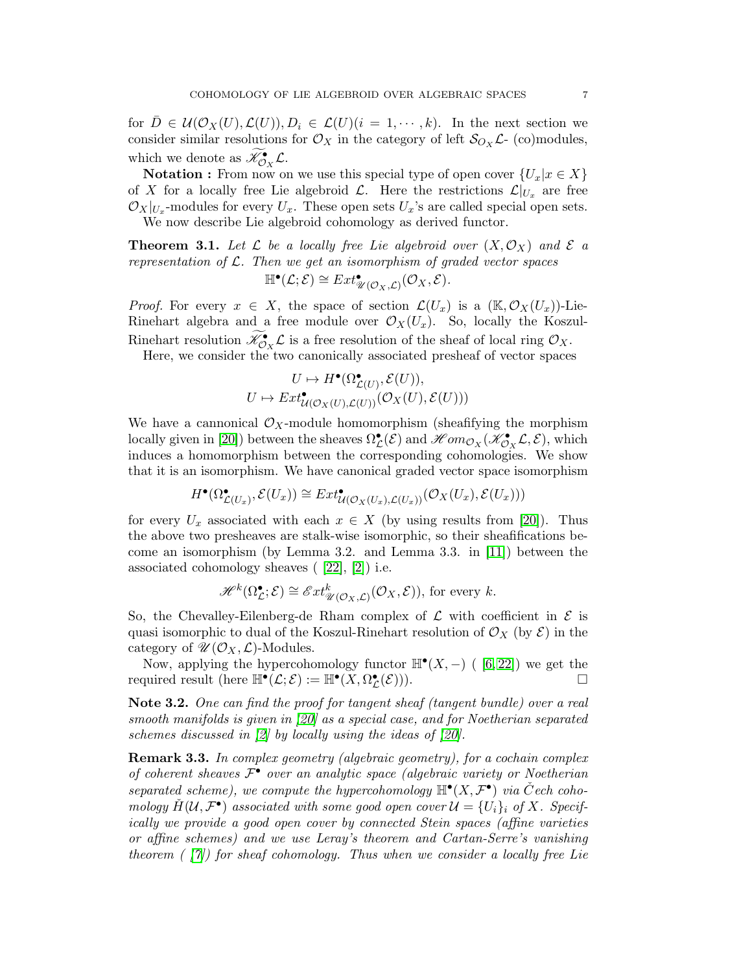for  $D \in \mathcal{U}(\mathcal{O}_X(U), \mathcal{L}(U)), D_i \in \mathcal{L}(U)(i = 1, \dots, k).$  In the next section we consider similar resolutions for  $\mathcal{O}_X$  in the category of left  $\mathcal{S}_{O_X} \mathcal{L}$ - (co)modules, which we denote as  $\widetilde{\mathscr{K}}_{\mathcal{O}_X}^{\bullet} \mathcal{L}$ .

**Notation :** From now on we use this special type of open cover  $\{U_x | x \in X\}$ of X for a locally free Lie algebroid  $\mathcal{L}$ . Here the restrictions  $\mathcal{L}|_{U_x}$  are free  $\mathcal{O}_X|_{U_x}$ -modules for every  $U_x$ . These open sets  $U_x$ 's are called special open sets. We now describe Lie algebroid cohomology as derived functor.

**Theorem 3.1.** Let L be a locally free Lie algebroid over  $(X, \mathcal{O}_X)$  and E a representation of  $\mathcal{L}$ . Then we get an isomorphism of graded vector spaces  $\mathbb{H}^{\bullet}(\mathcal{L}; \mathcal{E}) \cong Ext^{\bullet}_{\mathscr{U}(\mathcal{O}_X, \mathcal{L})}(\mathcal{O}_X, \mathcal{E}).$ 

*Proof.* For every  $x \in X$ , the space of section  $\mathcal{L}(U_x)$  is a  $(\mathbb{K}, \mathcal{O}_X(U_x))$ -Lie-Rinehart algebra and a free module over  $\mathcal{O}_X(U_x)$ . So, locally the Koszul-Rinehart resolution  $\widetilde{\mathscr{K}}_{\mathcal{O}_X}^{\bullet} \mathcal{L}$  is a free resolution of the sheaf of local ring  $\mathcal{O}_X$ .

Here, we consider the two canonically associated presheaf of vector spaces

$$
U \mapsto H^{\bullet}(\Omega^{\bullet}_{\mathcal{L}(U)}, \mathcal{E}(U)),
$$
  

$$
U \mapsto Ext^{\bullet}_{\mathcal{U}(\mathcal{O}_X(U), \mathcal{L}(U))}(\mathcal{O}_X(U), \mathcal{E}(U)))
$$

We have a cannonical  $\mathcal{O}_X$ -module homomorphism (sheafifying the morphism locally given in [\[20\]](#page-15-12)) between the sheaves  $\Omega^{\bullet}_{\mathcal{L}}(\mathcal{E})$  and  $\mathcal{H}om_{\mathcal{O}_X}(\mathcal{K}^{\bullet}_{\mathcal{O}_X}\mathcal{L}, \mathcal{E})$ , which induces a homomorphism between the corresponding cohomologies. We show that it is an isomorphism. We have canonical graded vector space isomorphism

$$
H^{\bullet}(\Omega_{\mathcal{L}(U_x)}^{\bullet}, \mathcal{E}(U_x)) \cong Ext_{\mathcal{U}(\mathcal{O}_X(U_x), \mathcal{L}(U_x))}^{\bullet}(\mathcal{O}_X(U_x), \mathcal{E}(U_x)))
$$

for every  $U_x$  associated with each  $x \in X$  (by using results from [\[20\]](#page-15-12)). Thus the above two presheaves are stalk-wise isomorphic, so their sheafifications become an isomorphism (by Lemma 3.2. and Lemma 3.3. in [\[11\]](#page-15-7)) between the associated cohomology sheaves ( [\[22\]](#page-15-17), [\[2\]](#page-15-3)) i.e.

$$
\mathscr{H}^k(\Omega^\bullet_{\mathcal{L}};\mathcal{E}) \cong \mathscr{E}xt^k_{\mathscr{U}(\mathcal{O}_X,\mathcal{L})}(\mathcal{O}_X,\mathcal{E})), \text{ for every } k.
$$

So, the Chevalley-Eilenberg-de Rham complex of  $\mathcal L$  with coefficient in  $\mathcal E$  is quasi isomorphic to dual of the Koszul-Rinehart resolution of  $\mathcal{O}_X$  (by  $\mathcal{E}$ ) in the category of  $\mathscr{U}(\mathcal{O}_X,\mathcal{L})$ -Modules.

Now, applying the hypercohomology functor  $\mathbb{H}^{\bullet}(X, -)$  ([6,22]) we get the required result (here  $\mathbb{H}^{\bullet}(\mathcal{L}; \mathcal{E}) := \mathbb{H}^{\bullet}(\overline{X}, \Omega^{\bullet}_{\mathcal{L}}(\mathcal{E}))).$ 

Note 3.2. One can find the proof for tangent sheaf (tangent bundle) over a real smooth manifolds is given in [\[20\]](#page-15-12) as a special case, and for Noetherian separated schemes discussed in [\[2\]](#page-15-3) by locally using the ideas of [\[20\]](#page-15-12).

**Remark 3.3.** In complex geometry (algebraic geometry), for a cochain complex of coherent sheaves  $\mathcal{F}^{\bullet}$  over an analytic space (algebraic variety or Noetherian separated scheme), we compute the hypercohomology  $\mathbb{H}^{\bullet}(X, \mathcal{F}^{\bullet})$  via Čech cohomology  $H(\mathcal{U}, \mathcal{F}^{\bullet})$  associated with some good open cover  $\mathcal{U} = \{U_i\}_i$  of X. Specifically we provide a good open cover by connected Stein spaces (affine varieties or affine schemes) and we use Leray's theorem and Cartan-Serre's vanishing theorem  $(\frac{1}{7})$  for sheaf cohomology. Thus when we consider a locally free Lie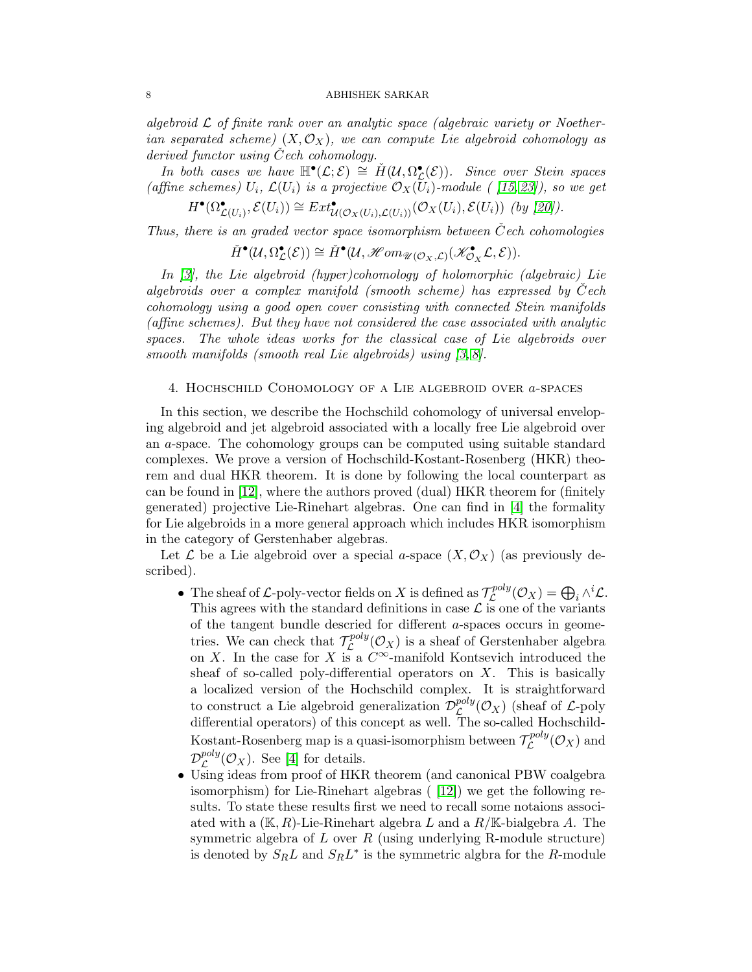algebroid  $\mathcal L$  of finite rank over an analytic space (algebraic variety or Noetherian separated scheme)  $(X, \mathcal{O}_X)$ , we can compute Lie algebroid cohomology as derived functor using  $Cech$  cohomology.

In both cases we have  $\mathbb{H}^{\bullet}(\mathcal{L}; \mathcal{E}) \cong \check{H}(\mathcal{U}, \Omega^{\bullet}_{\mathcal{L}}(\mathcal{E}))$ . Since over Stein spaces (affine schemes)  $U_i$ ,  $\mathcal{L}(U_i)$  is a projective  $\mathcal{O}_X(U_i)$ -module ([15,23]), so we get

$$
H^{\bullet}(\Omega_{\mathcal{L}(U_i)}^{\bullet}, \mathcal{E}(U_i)) \cong Ext_{\mathcal{U}(\mathcal{O}_X(U_i), \mathcal{L}(U_i))}^{\bullet}(\mathcal{O}_X(U_i), \mathcal{E}(U_i))
$$
 (by [20]).

Thus, there is an graded vector space isomorphism between  $\check{C}$ ech cohomologies

$$
\check{H}^{\bullet}(\mathcal{U},\Omega^{\bullet}_{\mathcal{L}}(\mathcal{E})) \cong \check{H}^{\bullet}(\mathcal{U}, \mathscr{H}om_{\mathscr{U}(\mathcal{O}_X,\mathcal{L})}(\mathscr{K}^{\bullet}_{\mathcal{O}_X}\mathcal{L},\mathcal{E})).
$$

In [\[3\]](#page-15-16), the Lie algebroid (hyper)cohomology of holomorphic (algebraic) Lie algebroids over a complex manifold (smooth scheme) has expressed by  $\check{C}$ ech cohomology using a good open cover consisting with connected Stein manifolds (affine schemes). But they have not considered the case associated with analytic spaces. The whole ideas works for the classical case of Lie algebroids over smooth manifolds (smooth real Lie algebroids) using [\[3,](#page-15-16) [8\]](#page-15-22).

## 4. Hochschild Cohomology of a Lie algebroid over a-spaces

In this section, we describe the Hochschild cohomology of universal enveloping algebroid and jet algebroid associated with a locally free Lie algebroid over an a-space. The cohomology groups can be computed using suitable standard complexes. We prove a version of Hochschild-Kostant-Rosenberg (HKR) theorem and dual HKR theorem. It is done by following the local counterpart as can be found in [\[12\]](#page-15-13), where the authors proved (dual) HKR theorem for (finitely generated) projective Lie-Rinehart algebras. One can find in [\[4\]](#page-15-4) the formality for Lie algebroids in a more general approach which includes HKR isomorphism in the category of Gerstenhaber algebras.

Let  $\mathcal L$  be a Lie algebroid over a special a-space  $(X, \mathcal O_X)$  (as previously described).

- The sheaf of L-poly-vector fields on X is defined as  $\mathcal{T}_{\zeta}^{poly}$  $L^{poly}(\mathcal{O}_X)=\bigoplus_i \wedge^i \mathcal{L}.$ This agrees with the standard definitions in case  $\mathcal L$  is one of the variants of the tangent bundle descried for different a-spaces occurs in geometries. We can check that  $\mathcal{T}_{\mathcal{C}}^{poly}$  $\mathcal{L}^{poly}(\mathcal{O}_X)$  is a sheaf of Gerstenhaber algebra on X. In the case for X is a  $C^{\infty}$ -manifold Kontsevich introduced the sheaf of so-called poly-differential operators on  $X$ . This is basically a localized version of the Hochschild complex. It is straightforward to construct a Lie algebroid generalization  $\mathcal{D}^{poly}_{\mathcal{L}}$  $\mathcal{L}^{poy}(\mathcal{O}_X)$  (sheaf of  $\mathcal{L}$ -poly differential operators) of this concept as well. The so-called Hochschild-Kostant-Rosenberg map is a quasi-isomorphism between  $\mathcal{T}_{\mathcal{L}}^{poly}$  $\mathcal{L}^{p o i y}(\mathcal{O}_X)$  and  ${\cal D}^{poly}_{\cal C}$  $_{\mathcal{L}}^{poy}(\mathcal{O}_X)$ . See [\[4\]](#page-15-4) for details.
- Using ideas from proof of HKR theorem (and canonical PBW coalgebra isomorphism) for Lie-Rinehart algebras ( [\[12\]](#page-15-13)) we get the following results. To state these results first we need to recall some notaions associated with a  $(K, R)$ -Lie-Rinehart algebra L and a  $R/K$ -bialgebra A. The symmetric algebra of L over R (using underlying R-module structure) is denoted by  $S_R L$  and  $S_R L^*$  is the symmetric algora for the R-module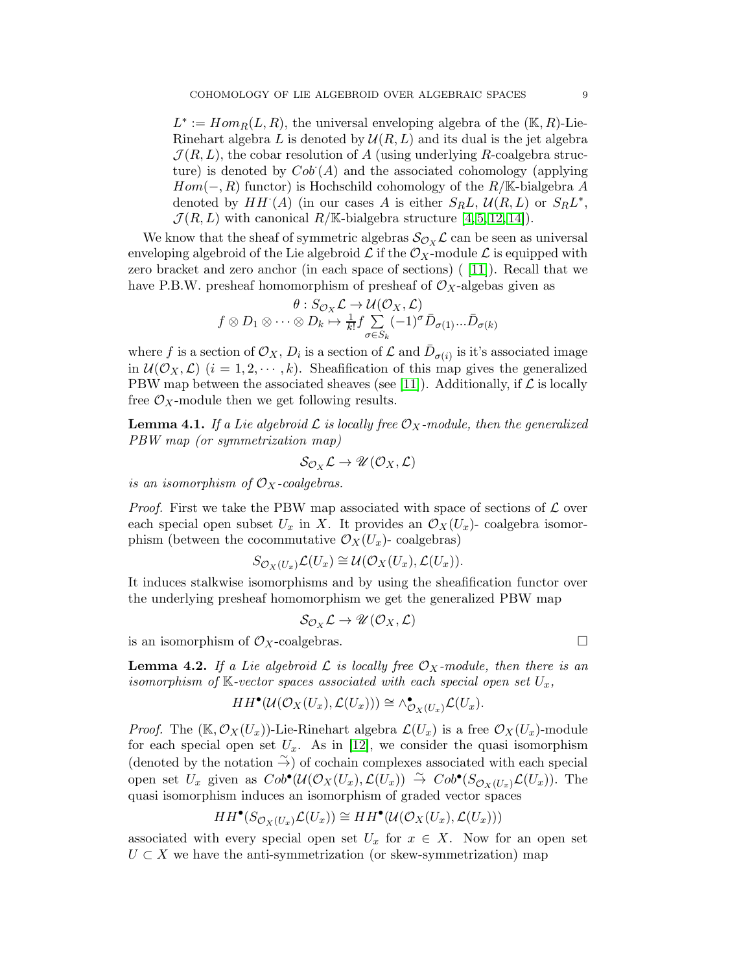$L^* := Hom_R(L, R)$ , the universal enveloping algebra of the  $(\mathbb{K}, R)$ -Lie-Rinehart algebra L is denoted by  $\mathcal{U}(R, L)$  and its dual is the jet algebra  $\mathcal{J}(R,L)$ , the cobar resolution of A (using underlying R-coalgebra structure) is denoted by  $Cob(A)$  and the associated cohomology (applying  $Hom(-, R)$  functor) is Hochschild cohomology of the  $R/\mathbb{K}$ -bialgebra A denoted by  $HH^{\cdot}(A)$  (in our cases A is either  $S_R L$ ,  $\mathcal{U}(R,L)$  or  $S_R L^*$ ,  $\mathcal{J}(R,L)$  with canonical  $R/\mathbb{K}$ -bialgebra structure [\[4,](#page-15-4) [5,](#page-15-9) [12,](#page-15-13) [14\]](#page-15-1)).

We know that the sheaf of symmetric algebras  $\mathcal{S}_{\mathcal{O}_X} \mathcal{L}$  can be seen as universal enveloping algebroid of the Lie algebroid  $\mathcal L$  if the  $\mathcal O_X$ -module  $\mathcal L$  is equipped with zero bracket and zero anchor (in each space of sections) ( [\[11\]](#page-15-7)). Recall that we have P.B.W. presheaf homomorphism of presheaf of  $\mathcal{O}_X$ -algebas given as

$$
\theta : S_{\mathcal{O}_X} \mathcal{L} \to \mathcal{U}(\mathcal{O}_X, \mathcal{L})
$$

$$
f \otimes D_1 \otimes \cdots \otimes D_k \mapsto \frac{1}{k!} f \sum_{\sigma \in S_k} (-1)^{\sigma} \bar{D}_{\sigma(1)} \dots \bar{D}_{\sigma(k)}
$$

where f is a section of  $\mathcal{O}_X$ ,  $D_i$  is a section of  $\mathcal L$  and  $\bar{D}_{\sigma(i)}$  is it's associated image in  $\mathcal{U}(\mathcal{O}_X, \mathcal{L})$   $(i = 1, 2, \dots, k)$ . Sheafification of this map gives the generalized PBW map between the associated sheaves (see [\[11\]](#page-15-7)). Additionally, if  $\mathcal L$  is locally free  $\mathcal{O}_X$ -module then we get following results.

**Lemma 4.1.** If a Lie algebroid  $\mathcal{L}$  is locally free  $\mathcal{O}_X$ -module, then the generalized PBW map (or symmetrization map)

$$
\mathcal{S}_{\mathcal{O}_X}\mathcal{L}\to \mathscr{U}(\mathcal{O}_X,\mathcal{L})
$$

is an isomorphism of  $\mathcal{O}_X$ -coalgebras.

*Proof.* First we take the PBW map associated with space of sections of  $\mathcal{L}$  over each special open subset  $U_x$  in X. It provides an  $\mathcal{O}_X(U_x)$ - coalgebra isomorphism (between the cocommutative  $\mathcal{O}_X(U_x)$ - coalgebras)

$$
S_{\mathcal{O}_X(U_x)}\mathcal{L}(U_x) \cong \mathcal{U}(\mathcal{O}_X(U_x), \mathcal{L}(U_x)).
$$

It induces stalkwise isomorphisms and by using the sheafification functor over the underlying presheaf homomorphism we get the generalized PBW map

$$
\mathcal{S}_{\mathcal{O}_X}\mathcal{L}\to \mathscr{U}(\mathcal{O}_X,\mathcal{L})
$$

is an isomorphism of  $\mathcal{O}_X$ -coalgebras.

<span id="page-8-0"></span>**Lemma 4.2.** If a Lie algebroid  $\mathcal{L}$  is locally free  $\mathcal{O}_X$ -module, then there is an isomorphism of  $K$ -vector spaces associated with each special open set  $U_x$ ,

$$
HH^{\bullet}(\mathcal{U}(\mathcal{O}_X(U_x), \mathcal{L}(U_x))) \cong \wedge^{\bullet}_{\mathcal{O}_X(U_x)} \mathcal{L}(U_x).
$$

*Proof.* The  $(\mathbb{K}, \mathcal{O}_X(U_x))$ -Lie-Rinehart algebra  $\mathcal{L}(U_x)$  is a free  $\mathcal{O}_X(U_x)$ -module for each special open set  $U_x$ . As in [\[12\]](#page-15-13), we consider the quasi isomorphism (denoted by the notation  $\widetilde{\rightarrow}$ ) of cochain complexes associated with each special open set  $U_x$  given as  $Cob^{\bullet}(\mathcal{U}(\mathcal{O}_X(U_x), \mathcal{L}(U_x)) \overset{\sim}{\rightarrow} Cob^{\bullet}(S_{\mathcal{O}_X(U_x)}\mathcal{L}(U_x)).$  The quasi isomorphism induces an isomorphism of graded vector spaces

$$
HH^{\bullet}(S_{\mathcal{O}_X(U_x)}\mathcal{L}(U_x)) \cong HH^{\bullet}(\mathcal{U}(\mathcal{O}_X(U_x), \mathcal{L}(U_x)))
$$

associated with every special open set  $U_x$  for  $x \in X$ . Now for an open set  $U \subset X$  we have the anti-symmetrization (or skew-symmetrization) map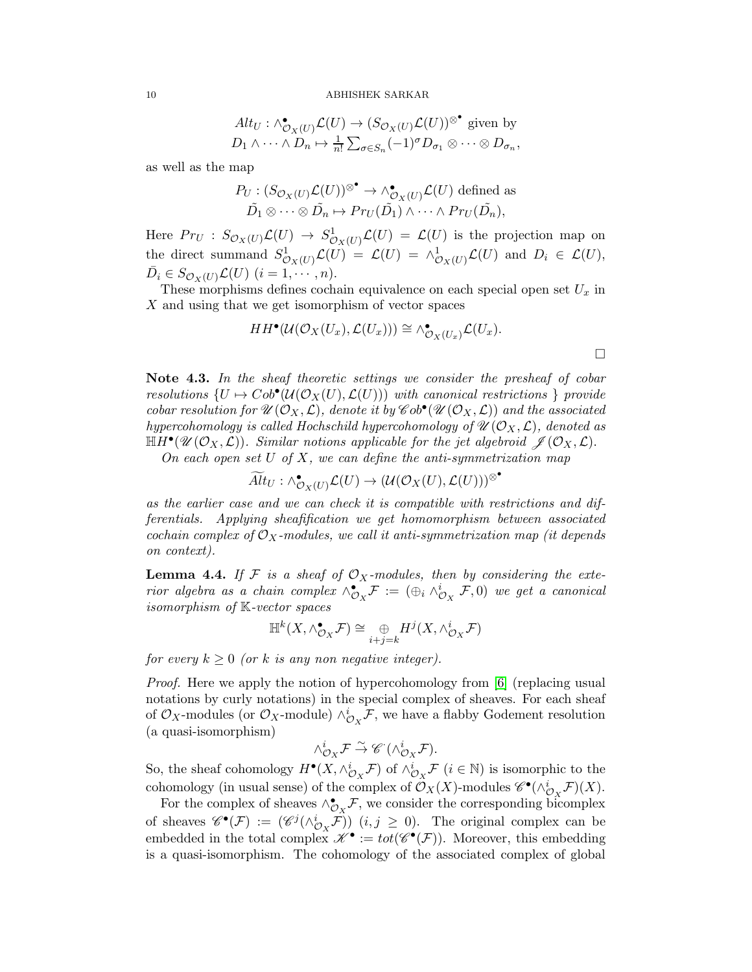$$
Alt_U: \wedge^{\bullet}_{\mathcal{O}_X(U)} \mathcal{L}(U) \to (S_{\mathcal{O}_X(U)} \mathcal{L}(U))^{\otimes^{\bullet}} \text{ given by}
$$
  

$$
D_1 \wedge \cdots \wedge D_n \mapsto \frac{1}{n!} \sum_{\sigma \in S_n} (-1)^{\sigma} D_{\sigma_1} \otimes \cdots \otimes D_{\sigma_n},
$$

as well as the map

$$
P_U: (S_{\mathcal{O}_X(U)}\mathcal{L}(U))^{\otimes \bullet} \to \wedge^{\bullet}_{\mathcal{O}_X(U)}\mathcal{L}(U) \text{ defined as}
$$

$$
\tilde{D}_1 \otimes \cdots \otimes \tilde{D}_n \mapsto Pr_U(\tilde{D}_1) \wedge \cdots \wedge Pr_U(\tilde{D}_n),
$$

Here  $Pr_U : S_{\mathcal{O}_X(U)} \mathcal{L}(U) \to S^1_{\mathcal{O}_X(U)} \mathcal{L}(U) = \mathcal{L}(U)$  is the projection map on the direct summand  $S^1_{\mathcal{O}_X(U)}\mathcal{L}(U) = \mathcal{L}(U) = \wedge^1_{\mathcal{O}_X(U)}\mathcal{L}(U)$  and  $D_i \in \mathcal{L}(U)$ ,  $\bar{D}_i \in S_{\mathcal{O}_X(U)} \mathcal{L}(U)$   $(i = 1, \dots, n)$ .

These morphisms defines cochain equivalence on each special open set  $U_x$  in X and using that we get isomorphism of vector spaces

$$
HH^{\bullet}(\mathcal{U}(\mathcal{O}_X(U_x), \mathcal{L}(U_x))) \cong \wedge^{\bullet}_{\mathcal{O}_X(U_x)} \mathcal{L}(U_x).
$$

Note 4.3. In the sheaf theoretic settings we consider the presheaf of cobar resolutions  $\{U \mapsto Cob^{\bullet}(\mathcal{U}(\mathcal{O}_X(U), \mathcal{L}(U)))$  with canonical restrictions } provide cobar resolution for  $\mathscr{U}(\mathcal{O}_X, \mathcal{L})$ , denote it by  $\mathscr{C}ob^{\bullet}(\mathscr{U}(\mathcal{O}_X, \mathcal{L}))$  and the associated hypercohomology is called Hochschild hypercohomology of  $\mathcal{U}(\mathcal{O}_X, \mathcal{L})$ , denoted as  $\mathbb{H}H^{\bullet}(\mathscr{U}(\mathcal{O}_X,\mathcal{L}))$ . Similar notions applicable for the jet algebroid  $\mathscr{J}(\mathcal{O}_X,\mathcal{L})$ .

On each open set  $U$  of  $X$ , we can define the anti-symmetrization map

$$
\widetilde{Alt}_U: \wedge_{\mathcal{O}_X(U)}^{\bullet} \mathcal{L}(U) \to (\mathcal{U}(\mathcal{O}_X(U), \mathcal{L}(U)))^{\otimes \bullet}
$$

as the earlier case and we can check it is compatible with restrictions and differentials. Applying sheafification we get homomorphism between associated cochain complex of  $\mathcal{O}_X$ -modules, we call it anti-symmetrization map (it depends on context).

<span id="page-9-0"></span>**Lemma 4.4.** If F is a sheaf of  $\mathcal{O}_X$ -modules, then by considering the exterior algebra as a chain complex  $\wedge_{\mathcal{O}_X}^{\bullet} \mathcal{F} := (\oplus_i \wedge_{\mathcal{O}_X}^i \mathcal{F}, 0)$  we get a canonical isomorphism of K-vector spaces

$$
\mathbb{H}^k(X, \wedge_{\mathcal{O}_X}^\bullet \mathcal{F}) \cong \underset{i+j=k}{\oplus} H^j(X, \wedge_{\mathcal{O}_X}^i \mathcal{F})
$$

for every  $k \geq 0$  (or k is any non negative integer).

*Proof.* Here we apply the notion of hypercohomology from [\[6\]](#page-15-18) (replacing usual notations by curly notations) in the special complex of sheaves. For each sheaf of  $\mathcal{O}_X$ -modules (or  $\mathcal{O}_X$ -module)  $\wedge_{\mathcal{O}_X}^i \mathcal{F}$ , we have a flabby Godement resolution (a quasi-isomorphism)

$$
\wedge_{\mathcal{O}_{X}}^{i} \mathcal{F} \stackrel{\sim}{\rightarrow} \mathscr{C}^{\cdot}(\wedge_{\mathcal{O}_{X}}^{i} \mathcal{F}).
$$

So, the sheaf cohomology  $H^{\bullet}(X, \wedge_{\mathcal{O}_X}^i \mathcal{F})$  of  $\wedge_{\mathcal{O}_X}^i \mathcal{F}$   $(i \in \mathbb{N})$  is isomorphic to the cohomology (in usual sense) of the complex of  $\mathcal{O}_X(X)$ -modules  $\mathscr{C}^{\bullet}(\wedge^i_{\mathcal{O}_X}\mathcal{F})(X)$ .

For the complex of sheaves  $\wedge_{\mathcal{O}_X}^{\bullet} \mathcal{F}$ , we consider the corresponding bicomplex of sheaves  $\mathscr{C}^{\bullet}(\mathcal{F}) := (\mathscr{C}^j(\wedge_{\mathcal{O}_{\mathcal{X}}}^i\widetilde{\mathcal{F}}))$   $(i, j \geq 0)$ . The original complex can be embedded in the total complex  $\mathscr{K}^{\bullet} := tot(\mathscr{C}^{\bullet}(\mathcal{F}))$ . Moreover, this embedding is a quasi-isomorphism. The cohomology of the associated complex of global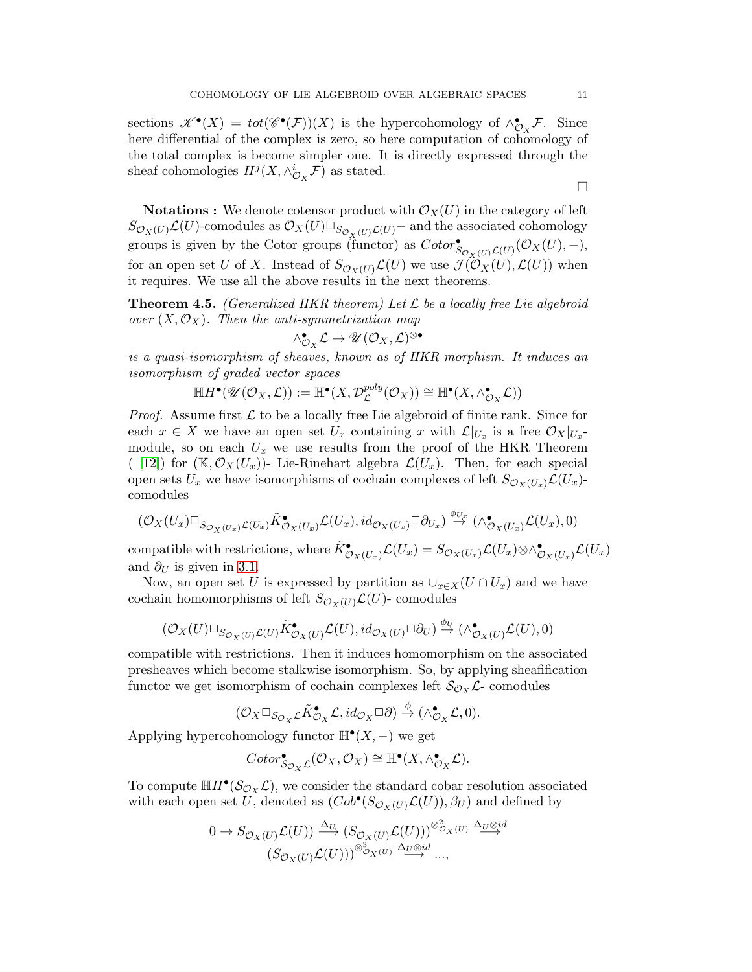sections  $\mathscr{K}^{\bullet}(X) = tot(\mathscr{C}^{\bullet}(\mathcal{F}))(X)$  is the hypercohomology of  $\wedge_{\mathcal{O}_X}^{\bullet} \mathcal{F}$ . Since here differential of the complex is zero, so here computation of cohomology of the total complex is become simpler one. It is directly expressed through the sheaf cohomologies  $H^j(X, \wedge_{\mathcal{O}_X}^i \mathcal{F})$  as stated.

**Notations :** We denote cotensor product with  $\mathcal{O}_X(U)$  in the category of left  $S_{\mathcal{O}_X(U)}\mathcal{L}(U)$ -comodules as  $\mathcal{O}_X(U)\Box_{S_{\mathcal{O}_Y(U)}\mathcal{L}(U)}$  and the associated cohomology groups is given by the Cotor groups (functor) as  $Cotor^{\bullet}_{S_{\mathcal{O}_X(U)}\mathcal{L}(U)}(\mathcal{O}_X(U), -),$ for an open set U of X. Instead of  $S_{\mathcal{O}_X(U)}\mathcal{L}(U)$  we use  $\mathcal{J}(\mathcal{O}_X(U), \mathcal{L}(U))$  when it requires. We use all the above results in the next theorems.

**Theorem 4.5.** (Generalized HKR theorem) Let  $\mathcal{L}$  be a locally free Lie algebroid over  $(X, \mathcal{O}_X)$ . Then the anti-symmetrization map

$$
\wedge_{\mathcal{O}_X}^{\bullet}\mathcal{L}\rightarrow \mathscr{U}(\mathcal{O}_X,\mathcal{L})^{\otimes \bullet}
$$

is a quasi-isomorphism of sheaves, known as of HKR morphism. It induces an isomorphism of graded vector spaces

$$
\mathbb{H}H^{\bullet}(\mathscr{U}(\mathcal{O}_X,\mathcal{L})):=\mathbb{H}^{\bullet}(X,\mathcal{D}^{poly}_{\mathcal{L}}(\mathcal{O}_X))\cong \mathbb{H}^{\bullet}(X, \wedge_{\mathcal{O}_X}^{\bullet}\mathcal{L}))
$$

*Proof.* Assume first  $\mathcal L$  to be a locally free Lie algebroid of finite rank. Since for each  $x \in X$  we have an open set  $U_x$  containing x with  $\mathcal{L}|_{U_x}$  is a free  $\mathcal{O}_X|_{U_x}$ . module, so on each  $U_x$  we use results from the proof of the HKR Theorem ( [\[12\]](#page-15-13)) for  $(\mathbb{K}, \mathcal{O}_X(U_x))$ - Lie-Rinehart algebra  $\mathcal{L}(U_x)$ . Then, for each special open sets  $U_x$  we have isomorphisms of cochain complexes of left  $S_{\mathcal{O}_X(U_x)}\mathcal{L}(U_x)$ comodules

$$
(\mathcal{O}_X(U_x)\Box_{S_{\mathcal{O}_X(U_x)}\mathcal{L}(U_x)}\tilde{K}^\bullet_{\mathcal{O}_X(U_x)}\mathcal{L}(U_x),id_{\mathcal{O}_X(U_x)}\Box \partial_{U_x})\stackrel{\phi_{U_x}}{\rightarrow}(\wedge^\bullet_{\mathcal{O}_X(U_x)}\mathcal{L}(U_x),0)
$$

compatible with restrictions, where  $\tilde{K}^{\bullet}_{\mathcal{O}_X(U_x)}\mathcal{L}(U_x) = S_{\mathcal{O}_X(U_x)}\mathcal{L}(U_x)\otimes \wedge^{\bullet}_{\mathcal{O}_X(U_x)}\mathcal{L}(U_x)$ and  $\partial_U$  is given in [3.1.](#page-5-0)

Now, an open set U is expressed by partition as  $\cup_{x\in X}(U\cap U_x)$  and we have cochain homomorphisms of left  $S_{\mathcal{O}_X(U)}\mathcal{L}(U)$ - comodules

$$
(\mathcal{O}_X(U)\Box_{S_{\mathcal{O}_X(U)}\mathcal{L}(U)}\tilde{K}^{\bullet}_{\mathcal{O}_X(U)}\mathcal{L}(U),id_{\mathcal{O}_X(U)}\Box \partial_U)\stackrel{\phi_U}{\rightarrow}(\wedge^{\bullet}_{\mathcal{O}_X(U)}\mathcal{L}(U),0)
$$

compatible with restrictions. Then it induces homomorphism on the associated presheaves which become stalkwise isomorphism. So, by applying sheafification functor we get isomorphism of cochain complexes left  $\mathcal{S}_{\mathcal{O}_X} \mathcal{L}$ - comodules

$$
(\mathcal{O}_X \Box_{\mathcal{S}_{\mathcal{O}_X} \mathcal{L}} \tilde{K}^{\bullet}_{\mathcal{O}_X} \mathcal{L}, id_{\mathcal{O}_X} \Box \partial) \stackrel{\phi}{\rightarrow} (\wedge^{\bullet}_{\mathcal{O}_X} \mathcal{L}, 0).
$$

Applying hypercohomology functor  $\mathbb{H}^{\bullet}(X, -)$  we get

$$
Cotor_{\mathcal{S}_{\mathcal{O}_X}\mathcal{L}}^{\bullet}(\mathcal{O}_X, \mathcal{O}_X) \cong \mathbb{H}^{\bullet}(X, \wedge_{\mathcal{O}_X}^{\bullet}\mathcal{L}).
$$

To compute  $\mathbb{H}H^{\bullet}(\mathcal{S}_{\mathcal{O}_X}\mathcal{L}),$  we consider the standard cobar resolution associated with each open set U, denoted as  $(Cob^{\bullet}(S_{\mathcal{O}_X(U)}\mathcal{L}(U)), \beta_U)$  and defined by

$$
0 \to S_{\mathcal{O}_X(U)}\mathcal{L}(U)) \xrightarrow{\Delta_U} (S_{\mathcal{O}_X(U)}\mathcal{L}(U)))^{\otimes_{\mathcal{O}_X(U)}^2} \xrightarrow{\Delta_U \otimes id} (S_{\mathcal{O}_X(U)}\mathcal{L}(U)))^{\otimes_{\mathcal{O}_X(U)}^3} \xrightarrow{\Delta_U \otimes id} \dots,
$$

 $\Box$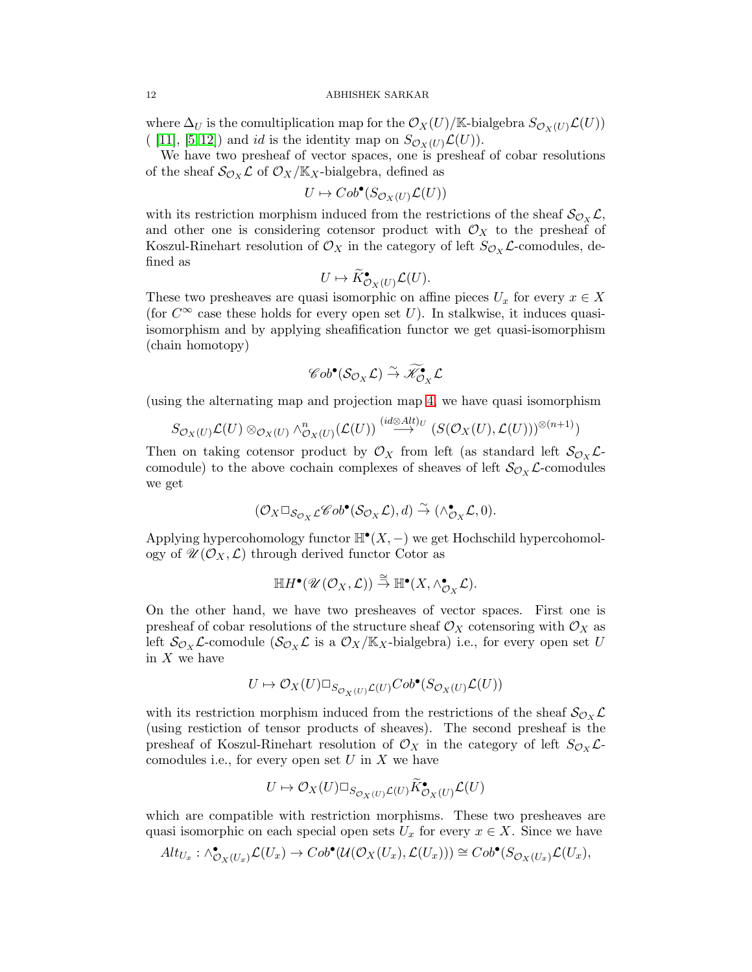where  $\Delta_U$  is the comultiplication map for the  $\mathcal{O}_X(U)/\mathbb{K}$ -bialgebra  $S_{\mathcal{O}_X(U)}\mathcal{L}(U)$ ( [\[11\]](#page-15-7), [\[5,](#page-15-9)12]) and *id* is the identity map on  $S_{\mathcal{O}_X(U)}\mathcal{L}(U)$ .

We have two presheaf of vector spaces, one is presheaf of cobar resolutions of the sheaf  $\mathcal{S}_{\mathcal{O}_X} \mathcal{L}$  of  $\mathcal{O}_X/\mathbb{K}_X$ -bialgebra, defined as

$$
U \mapsto Cob^{\bullet}(S_{\mathcal{O}_X(U)}\mathcal{L}(U))
$$

with its restriction morphism induced from the restrictions of the sheaf  $\mathcal{S}_{\mathcal{O}_X} \mathcal{L}$ , and other one is considering cotensor product with  $\mathcal{O}_X$  to the presheaf of Koszul-Rinehart resolution of  $\mathcal{O}_X$  in the category of left  $S_{\mathcal{O}_X} \mathcal{L}$ -comodules, defined as

$$
U \mapsto \widetilde{K}^{\bullet}_{\mathcal{O}_X(U)} \mathcal{L}(U).
$$

These two presheaves are quasi isomorphic on affine pieces  $U_x$  for every  $x \in X$ (for  $C^{\infty}$  case these holds for every open set U). In stalkwise, it induces quasiisomorphism and by applying sheafification functor we get quasi-isomorphism (chain homotopy)

$$
\mathscr{C}ob^\bullet(\mathcal{S}_{\mathcal{O}_X}\mathcal{L})\stackrel{\sim}{\rightarrow}\widetilde{\mathscr{K}^\bullet}_{\mathcal{O}_X}\mathcal{L}
$$

(using the alternating map and projection map [4,](#page-8-0) we have quasi isomorphism

$$
S_{\mathcal{O}_X(U)}\mathcal{L}(U)\otimes_{\mathcal{O}_X(U)}\wedge^n_{\mathcal{O}_X(U)}(\mathcal{L}(U))\stackrel{(id\otimes Alt)v}{\longrightarrow}(S(\mathcal{O}_X(U),\mathcal{L}(U)))^{\otimes (n+1)})
$$

Then on taking cotensor product by  $\mathcal{O}_X$  from left (as standard left  $\mathcal{S}_{\mathcal{O}_X} \mathcal{L}$ comodule) to the above cochain complexes of sheaves of left  $\mathcal{S}_{\mathcal{O}_X} \mathcal{L}$ -comodules we get

$$
(\mathcal{O}_X \Box_{\mathcal{S}_{\mathcal{O}_X} \mathcal{L}} \mathscr{C}ob^{\bullet}(\mathcal{S}_{\mathcal{O}_X} \mathcal{L}), d) \stackrel{\sim}{\rightarrow} (\wedge_{\mathcal{O}_X}^{\bullet} \mathcal{L}, 0).
$$

Applying hypercohomology functor  $\mathbb{H}^{\bullet}(X, -)$  we get Hochschild hypercohomology of  $\mathscr{U}(\mathcal{O}_X, \mathcal{L})$  through derived functor Cotor as

$$
\mathbb{H}H^{\bullet}(\mathscr{U}(\mathcal{O}_X,\mathcal{L})) \stackrel{\cong}{\to} \mathbb{H}^{\bullet}(X, \wedge_{\mathcal{O}_X}^{\bullet} \mathcal{L}).
$$

On the other hand, we have two presheaves of vector spaces. First one is presheaf of cobar resolutions of the structure sheaf  $\mathcal{O}_X$  cotensoring with  $\mathcal{O}_X$  as left  $\mathcal{S}_{\mathcal{O}_X} \mathcal{L}$ -comodule  $(\mathcal{S}_{\mathcal{O}_X} \mathcal{L}$  is a  $\mathcal{O}_X/\mathbb{K}_X$ -bialgebra) i.e., for every open set U in  $X$  we have

$$
U \mapsto \mathcal{O}_X(U) \square_{S_{\mathcal{O}_X(U)}} \mathcal{L}(U) \mathcal{C}ob^{\bullet}(S_{\mathcal{O}_X(U)}\mathcal{L}(U))
$$

with its restriction morphism induced from the restrictions of the sheaf  $\mathcal{S}_{\mathcal{O}_X} \mathcal{L}$ (using restiction of tensor products of sheaves). The second presheaf is the presheaf of Koszul-Rinehart resolution of  $\mathcal{O}_X$  in the category of left  $S_{\mathcal{O}_X} \mathcal{L}$ comodules i.e., for every open set  $U$  in  $X$  we have

$$
U\mapsto \mathcal{O}_X(U)\Box_{S_{\mathcal{O}_X(U)}\mathcal{L}(U)}\widetilde{K}^\bullet_{\mathcal{O}_X(U)}\mathcal{L}(U)
$$

which are compatible with restriction morphisms. These two presheaves are quasi isomorphic on each special open sets  $U_x$  for every  $x \in X$ . Since we have

$$
Alt_{U_x}: \wedge^{\bullet} _{\mathcal{O}_X(U_x)} \mathcal{L}(U_x) \to Cob^{\bullet}(\mathcal{U}(\mathcal{O}_X(U_x), \mathcal{L}(U_x))) \cong Cob^{\bullet}(S_{\mathcal{O}_X(U_x)} \mathcal{L}(U_x),
$$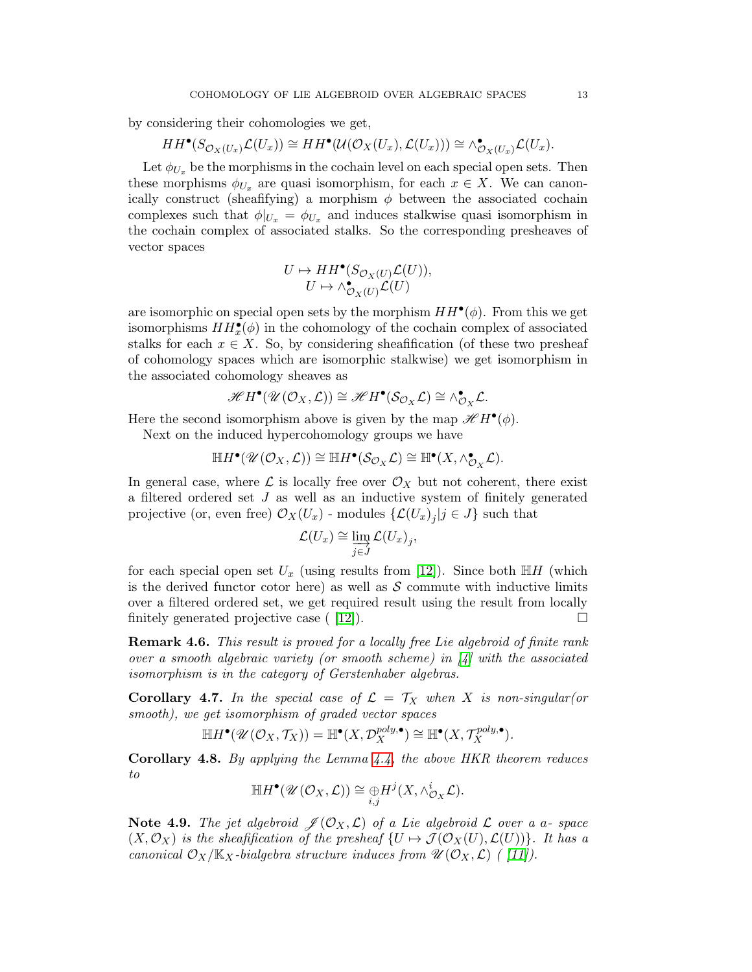by considering their cohomologies we get,

$$
HH^{\bullet}(S_{\mathcal{O}_X(U_x)}\mathcal{L}(U_x)) \cong HH^{\bullet}(\mathcal{U}(\mathcal{O}_X(U_x), \mathcal{L}(U_x))) \cong \wedge^{\bullet}_{\mathcal{O}_X(U_x)}\mathcal{L}(U_x).
$$

Let  $\phi_{U_x}$  be the morphisms in the cochain level on each special open sets. Then these morphisms  $\phi_{U_x}$  are quasi isomorphism, for each  $x \in X$ . We can canonically construct (sheafifying) a morphism  $\phi$  between the associated cochain complexes such that  $\phi|_{U_x} = \phi_{U_x}$  and induces stalkwise quasi isomorphism in the cochain complex of associated stalks. So the corresponding presheaves of vector spaces

$$
U \mapsto HH^{\bullet}(S_{\mathcal{O}_X(U)}\mathcal{L}(U)),
$$
  

$$
U \mapsto \wedge^{\bullet}_{\mathcal{O}_X(U)}\mathcal{L}(U)
$$

are isomorphic on special open sets by the morphism  $HH^{\bullet}(\phi)$ . From this we get isomorphisms  $HH_x^{\bullet}(\phi)$  in the cohomology of the cochain complex of associated stalks for each  $x \in X$ . So, by considering sheafification (of these two presheaf of cohomology spaces which are isomorphic stalkwise) we get isomorphism in the associated cohomology sheaves as

$$
\mathscr{H} H^{\bullet}(\mathscr{U}(\mathcal{O}_X,\mathcal{L})) \cong \mathscr{H} H^{\bullet}(\mathcal{S}_{\mathcal{O}_X}\mathcal{L}) \cong \wedge^{\bullet}_{\mathcal{O}_X}\mathcal{L}.
$$

Here the second isomorphism above is given by the map  $\mathscr{H}H^{\bullet}(\phi)$ .

Next on the induced hypercohomology groups we have

$$
\mathbb{H}H^{\bullet}(\mathscr{U}(\mathcal{O}_X,\mathcal{L}))\cong \mathbb{H}H^{\bullet}(\mathcal{S}_{\mathcal{O}_X}\mathcal{L})\cong \mathbb{H}^{\bullet}(X,\wedge^{\bullet}_{\mathcal{O}_X}\mathcal{L}).
$$

In general case, where  $\mathcal{L}$  is locally free over  $\mathcal{O}_X$  but not coherent, there exist a filtered ordered set J as well as an inductive system of finitely generated projective (or, even free)  $\mathcal{O}_X(U_x)$  - modules  $\{\mathcal{L}(U_x)_j | j \in J\}$  such that

$$
\mathcal{L}(U_x) \cong \varinjlim_{j \in J} \mathcal{L}(U_x)_j,
$$

for each special open set  $U_x$  (using results from [\[12\]](#page-15-13)). Since both  $\mathbb{H}H$  (which is the derived functor cotor here) as well as  $S$  commute with inductive limits over a filtered ordered set, we get required result using the result from locally finitely generated projective case  $([12])$ .

**Remark 4.6.** This result is proved for a locally free Lie algebroid of finite rank over a smooth algebraic variety (or smooth scheme) in  $\mathcal{A}$  with the associated isomorphism is in the category of Gerstenhaber algebras.

**Corollary 4.7.** In the special case of  $\mathcal{L} = \mathcal{T}_X$  when X is non-singular(or smooth), we get isomorphism of graded vector spaces

$$
\mathbb{H}H^{\bullet}(\mathscr{U}(\mathcal{O}_X,\mathcal{T}_X))=\mathbb{H}^{\bullet}(X,\mathcal{D}_X^{poly,\bullet})\cong \mathbb{H}^{\bullet}(X,\mathcal{T}_X^{poly,\bullet}).
$$

**Corollary 4.8.** By applying the Lemma  $4.4$ , the above HKR theorem reduces to

$$
\mathbb{H}H^{\bullet}(\mathscr{U}(\mathcal{O}_X,\mathcal{L}))\cong \underset{i,j}{\oplus}H^j(X,\wedge^i_{\mathcal{O}_X}\mathcal{L}).
$$

**Note 4.9.** The jet algebroid  $\mathcal{J}(\mathcal{O}_X, \mathcal{L})$  of a Lie algebroid  $\mathcal{L}$  over a a-space  $(X, \mathcal{O}_X)$  is the sheafification of the presheaf  $\{U \mapsto \mathcal{J}(\mathcal{O}_X(U), \mathcal{L}(U))\}$ . It has a canonical  $\mathcal{O}_X/\mathbb{K}_X$ -bialgebra structure induces from  $\mathscr{U}(\mathcal{O}_X,\mathcal{L})$  ([11]).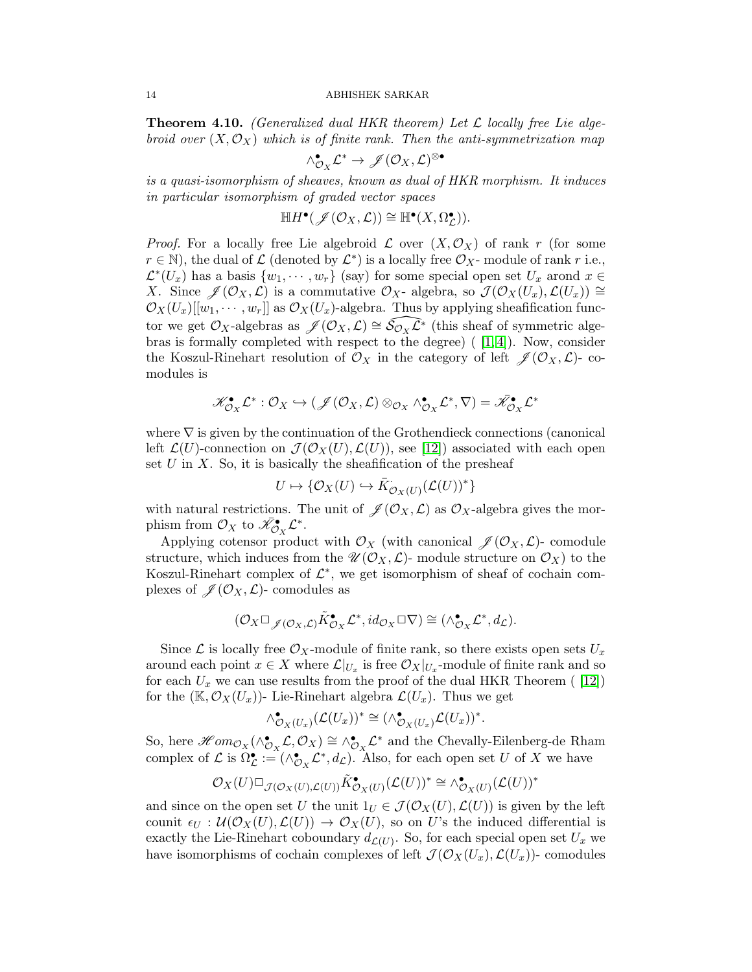**Theorem 4.10.** (Generalized dual HKR theorem) Let  $\mathcal{L}$  locally free Lie algebroid over  $(X, \mathcal{O}_X)$  which is of finite rank. Then the anti-symmetrization map

$$
\wedge_{\mathcal{O}_{X}}^{\bullet}\mathcal{L}^{*}\rightarrow\mathscr{J}(\mathcal{O}_{X},\mathcal{L})^{\otimes\bullet}
$$

is a quasi-isomorphism of sheaves, known as dual of HKR morphism. It induces in particular isomorphism of graded vector spaces

$$
\mathbb{H}H^{\bullet}(\mathscr{J}(\mathcal{O}_X,\mathcal{L}))\cong \mathbb{H}^{\bullet}(X,\Omega^{\bullet}_{\mathcal{L}})).
$$

*Proof.* For a locally free Lie algebroid  $\mathcal L$  over  $(X, \mathcal O_X)$  of rank r (for some  $r \in \mathbb{N}$ ), the dual of  $\mathcal L$  (denoted by  $\mathcal L^*$ ) is a locally free  $\mathcal O_X$ -module of rank r i.e.,  $\mathcal{L}^*(U_x)$  has a basis  $\{w_1, \cdots, w_r\}$  (say) for some special open set  $U_x$  arond  $x \in$ X. Since  $\mathscr{J}(\mathcal{O}_X, \mathcal{L})$  is a commutative  $\mathcal{O}_X$ - algebra, so  $\mathcal{J}(\mathcal{O}_X(U_x), \mathcal{L}(U_x)) \cong$  $\mathcal{O}_X(U_x)[[w_1, \cdots, w_r]]$  as  $\mathcal{O}_X(U_x)$ -algebra. Thus by applying sheafification functor we get  $\mathcal{O}_X$ -algebras as  $\mathscr{J}(\mathcal{O}_X, \mathcal{L}) \cong \widetilde{\mathcal{S}}_{\mathcal{O}_X} \widetilde{\mathcal{L}}^*$  (this sheaf of symmetric algebras is formally completed with respect to the degree)  $(1, 4)$ . Now, consider the Koszul-Rinehart resolution of  $\mathcal{O}_X$  in the category of left  $\mathscr{J}(\mathcal{O}_X, \mathcal{L})$ - comodules is

$$
\mathscr{K}^\bullet_{\mathcal{O}_X}\mathcal{L}^*: \mathcal{O}_X \hookrightarrow (\mathscr{J}(\mathcal{O}_X,\mathcal{L})\otimes_{\mathcal{O}_X}\wedge^\bullet_{\mathcal{O}_X}\mathcal{L}^*,\nabla)=\bar{\mathscr{K}}^\bullet_{\mathcal{O}_X}\mathcal{L}^*
$$

where  $\nabla$  is given by the continuation of the Grothendieck connections (canonical left  $\mathcal{L}(U)$ -connection on  $\mathcal{J}(\mathcal{O}_X(U),\mathcal{L}(U))$ , see [\[12\]](#page-15-13)) associated with each open set  $U$  in  $X$ . So, it is basically the sheafification of the presheaf

$$
U \mapsto \{\mathcal{O}_X(U) \hookrightarrow \bar{K}_{\mathcal{O}_X(U)}^{\cdot}(\mathcal{L}(U))^*\}
$$

with natural restrictions. The unit of  $\mathscr{J}(\mathcal{O}_X, \mathcal{L})$  as  $\mathcal{O}_X$ -algebra gives the morphism from  $\mathcal{O}_X$  to  $\bar{\mathscr{K}}_{\mathcal{O}_X}^{\bullet} \mathcal{L}^*$ .

Applying cotensor product with  $\mathcal{O}_X$  (with canonical  $\mathscr{J}(\mathcal{O}_X, \mathcal{L})$ - comodule structure, which induces from the  $\mathscr{U}(\mathcal{O}_X,\mathcal{L})$ - module structure on  $\mathcal{O}_X$  to the Koszul-Rinehart complex of  $\mathcal{L}^*$ , we get isomorphism of sheaf of cochain complexes of  $\mathscr{J}(\mathcal{O}_X, \mathcal{L})$ - comodules as

$$
(\mathcal{O}_X \Box_{\mathscr{J}(\mathcal{O}_X,\mathcal{L})} \tilde{K}^{\bullet}_{\mathcal{O}_X} \mathcal{L}^*, id_{\mathcal{O}_X} \Box \nabla) \cong (\wedge^{\bullet}_{\mathcal{O}_X} \mathcal{L}^*, d_{\mathcal{L}}).
$$

Since  $\mathcal L$  is locally free  $\mathcal O_X$ -module of finite rank, so there exists open sets  $U_x$ around each point  $x \in X$  where  $\mathcal{L}|_{U_x}$  is free  $\mathcal{O}_X|_{U_x}$ -module of finite rank and so for each  $U_x$  we can use results from the proof of the dual HKR Theorem ([12]) for the  $(\mathbb{K}, \mathcal{O}_X(U_x))$ - Lie-Rinehart algebra  $\mathcal{L}(U_x)$ . Thus we get

$$
\wedge_{\mathcal{O}_X(U_x)}^{\bullet}(\mathcal{L}(U_x))^* \cong (\wedge_{\mathcal{O}_X(U_x)}^{\bullet} \mathcal{L}(U_x))^*.
$$

So, here  $\mathscr{H}om_{\mathcal{O}_X}(\wedge_{\mathcal{O}_X}^{\bullet}\mathcal{L},\mathcal{O}_X)\cong\wedge_{\mathcal{O}_X}^{\bullet}\mathcal{L}^*$  and the Chevally-Eilenberg-de Rham complex of  $\mathcal L$  is  $\Omega_{\mathcal L}^{\bullet} := (\wedge_{\mathcal O_X}^{\bullet} \mathcal L^*, d_{\mathcal L}).$  Also, for each open set U of X we have

$$
\mathcal{O}_X(U)\Box_{\mathcal{J}(\mathcal{O}_X(U),\mathcal{L}(U))}\tilde{K}^\bullet_{\mathcal{O}_X(U)}(\mathcal{L}(U))^* \cong \wedge^\bullet_{\mathcal{O}_X(U)}(\mathcal{L}(U))^*
$$

and since on the open set U the unit  $1_U \in \mathcal{J}(\mathcal{O}_X(U), \mathcal{L}(U))$  is given by the left counit  $\epsilon_U : \mathcal{U}(\mathcal{O}_X(U), \mathcal{L}(U)) \to \mathcal{O}_X(U)$ , so on U's the induced differential is exactly the Lie-Rinehart coboundary  $d_{\mathcal{L}(U)}$ . So, for each special open set  $U_x$  we have isomorphisms of cochain complexes of left  $\mathcal{J}(\mathcal{O}_X(U_x),\mathcal{L}(U_x))$ - comodules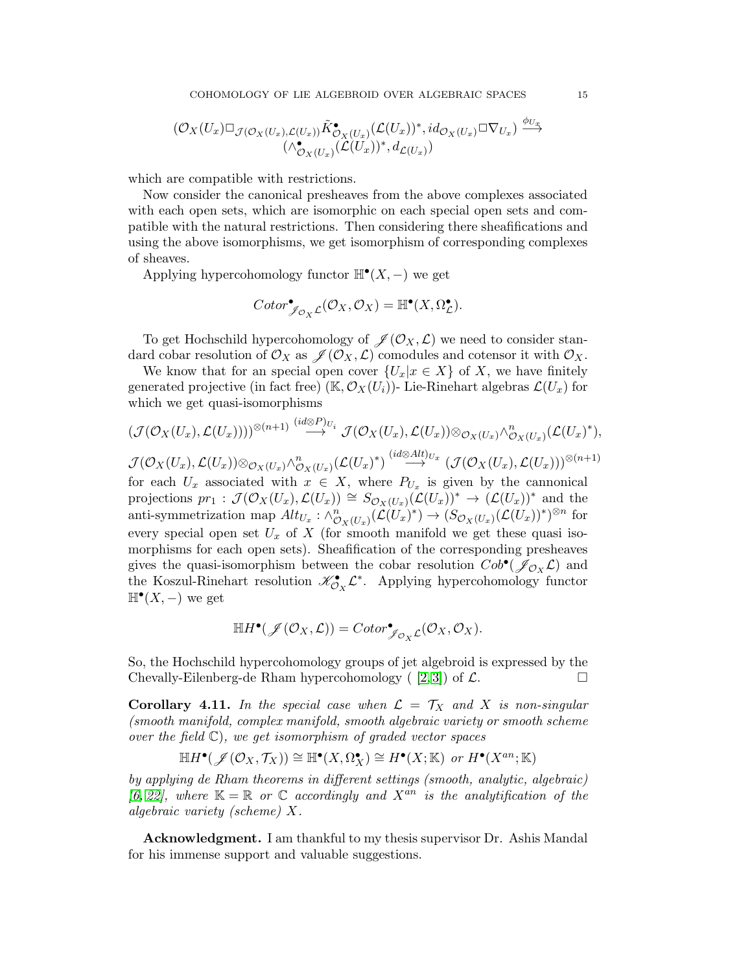$$
(\mathcal{O}_X(U_x)\Box_{\mathcal{J}(\mathcal{O}_X(U_x),\mathcal{L}(U_x))}\tilde{K}^\bullet_{\mathcal{O}_X(U_x)}(\mathcal{L}(U_x))^*,id_{\mathcal{O}_X(U_x)}\Box \nabla_{U_x})\xrightarrow{\phi_{U_x}}(\wedge_{\mathcal{O}_X(U_x)}^\bullet(\mathcal{L}(U_x))^*,d_{\mathcal{L}(U_x)})
$$

which are compatible with restrictions.

Now consider the canonical presheaves from the above complexes associated with each open sets, which are isomorphic on each special open sets and compatible with the natural restrictions. Then considering there sheafifications and using the above isomorphisms, we get isomorphism of corresponding complexes of sheaves.

Applying hypercohomology functor  $\mathbb{H}^{\bullet}(X, -)$  we get

$$
Cotor^{\bullet}_{\mathscr{J}_{\mathcal{O}_X}\mathcal{L}}(\mathcal{O}_X, \mathcal{O}_X) = \mathbb{H}^{\bullet}(X, \Omega^{\bullet}_{\mathcal{L}}).
$$

To get Hochschild hypercohomology of  $\mathscr{J}(\mathcal{O}_X, \mathcal{L})$  we need to consider standard cobar resolution of  $\mathcal{O}_X$  as  $\mathcal{J}(\mathcal{O}_X, \mathcal{L})$  comodules and cotensor it with  $\mathcal{O}_X$ .

We know that for an special open cover  $\{U_x|x \in X\}$  of X, we have finitely generated projective (in fact free) (K,  $\mathcal{O}_X(U_i)$ )- Lie-Rinehart algebras  $\mathcal{L}(U_x)$  for which we get quasi-isomorphisms

$$
(\mathcal{J}(\mathcal{O}_X(U_x),\mathcal{L}(U_x))))^{\otimes (n+1)} \stackrel{(id \otimes P)_{U_i}}{\longrightarrow} \mathcal{J}(\mathcal{O}_X(U_x),\mathcal{L}(U_x)) \otimes_{\mathcal{O}_X(U_x)} \wedge^n_{\mathcal{O}_X(U_x)}(\mathcal{L}(U_x)^*),
$$

 $\mathcal{J}(\mathcal{O}_X(U_x),\mathcal{L}(U_x))\otimes_{\mathcal{O}_X(U_x)}\wedge^n_{\mathcal{O}_X(U_x)}(\mathcal{L}(U_x)^*)\stackrel{(id\otimes Alt)_{U_x}}{\longrightarrow}(\mathcal{J}(\mathcal{O}_X(U_x),\mathcal{L}(U_x)))^{\otimes(n+1)}$ for each  $U_x$  associated with  $x \in X$ , where  $P_{U_x}$  is given by the cannonical projections  $pr_1: \mathcal{J}(\mathcal{O}_X(U_x), \mathcal{L}(U_x)) \cong S_{\mathcal{O}_X(U_x)}(\mathcal{L}(U_x))^* \to (\mathcal{L}(U_x))^*$  and the anti-symmetrization map  $Alt_{U_x} : \wedge^n_{\mathcal{O}_X(U_x)}(\mathcal{L}(U_x)^*) \to (S_{\mathcal{O}_X(U_x)}(\mathcal{L}(U_x))^*)^{\otimes n}$  for every special open set  $U_x$  of X (for smooth manifold we get these quasi isomorphisms for each open sets). Sheafification of the corresponding presheaves gives the quasi-isomorphism between the cobar resolution  $Cob^{\bullet}(\mathscr{J}_{\mathcal{O}_X}\mathcal{L})$  and the Koszul-Rinehart resolution  $\mathscr{K}_{\mathcal{O}_X}^{\bullet} \mathcal{L}^*$ . Applying hypercohomology functor  $\mathbb{H}^{\bullet}(X, -)$  we get

$$
\mathbb{H}H^{\bullet}(\mathscr{J}(\mathcal{O}_X,\mathcal{L}))=Cotor^{\bullet}_{\mathscr{J}_{\mathcal{O}_X}\mathcal{L}}(\mathcal{O}_X,\mathcal{O}_X).
$$

So, the Hochschild hypercohomology groups of jet algebroid is expressed by the Chevally-Eilenberg-de Rham hypercohomology  $(2,3)$  of  $\mathcal{L}$ .

**Corollary 4.11.** In the special case when  $\mathcal{L} = \mathcal{T}_X$  and X is non-singular (smooth manifold, complex manifold, smooth algebraic variety or smooth scheme over the field  $\mathbb{C}$ , we get isomorphism of graded vector spaces

$$
\mathbb{H}H^{\bullet}(\mathscr{J}(\mathcal{O}_X,\mathcal{T}_X)) \cong \mathbb{H}^{\bullet}(X,\Omega_X^{\bullet}) \cong H^{\bullet}(X;\mathbb{K}) \text{ or } H^{\bullet}(X^{an};\mathbb{K})
$$

by applying de Rham theorems in different settings (smooth, analytic, algebraic) [\[6,](#page-15-18) [22\]](#page-15-17), where  $\mathbb{K} = \mathbb{R}$  or  $\mathbb{C}$  accordingly and  $X^{an}$  is the analytification of the algebraic variety (scheme) X.

Acknowledgment. I am thankful to my thesis supervisor Dr. Ashis Mandal for his immense support and valuable suggestions.